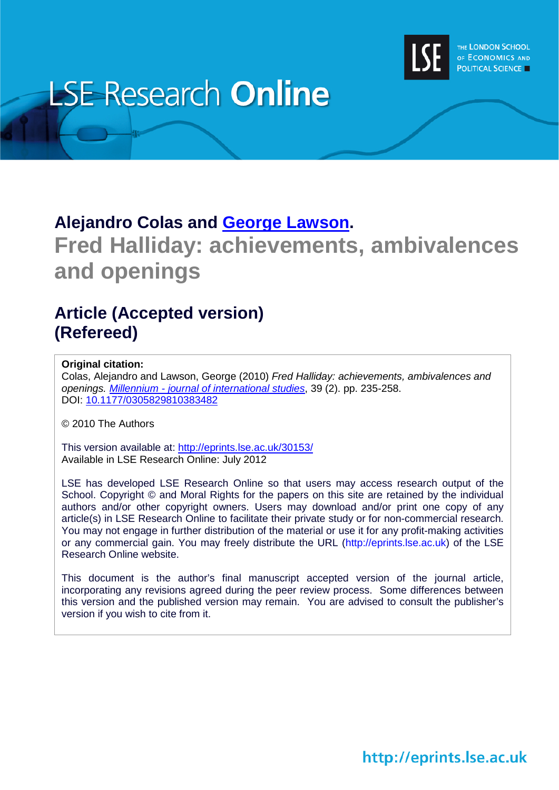

# **LSE Research Online**

### **Alejandro Colas and [George Lawson.](http://www2.lse.ac.uk/researchAndExpertise/Experts/profile.aspx?KeyValue=g.lawson@lse.ac.uk)**

# **Fred Halliday: achievements, ambivalences and openings**

# **Article (Accepted version) (Refereed)**

#### **Original citation:**

Colas, Alejandro and Lawson, George (2010) *Fred Halliday: achievements, ambivalences and openings. Millennium - journal of [international studies](http://mil.sagepub.com/)*, 39 (2). pp. 235-258. DOI: [10.1177/0305829810383482](http://dx.doi.org/10.1177/0305829810383482)

© 2010 The Authors

This version available at:<http://eprints.lse.ac.uk/30153/> Available in LSE Research Online: July 2012

LSE has developed LSE Research Online so that users may access research output of the School. Copyright © and Moral Rights for the papers on this site are retained by the individual authors and/or other copyright owners. Users may download and/or print one copy of any article(s) in LSE Research Online to facilitate their private study or for non-commercial research. You may not engage in further distribution of the material or use it for any profit-making activities or any commercial gain. You may freely distribute the URL (http://eprints.lse.ac.uk) of the LSE Research Online website.

This document is the author's final manuscript accepted version of the journal article, incorporating any revisions agreed during the peer review process. Some differences between this version and the published version may remain. You are advised to consult the publisher's version if you wish to cite from it.

# http://eprints.lse.ac.uk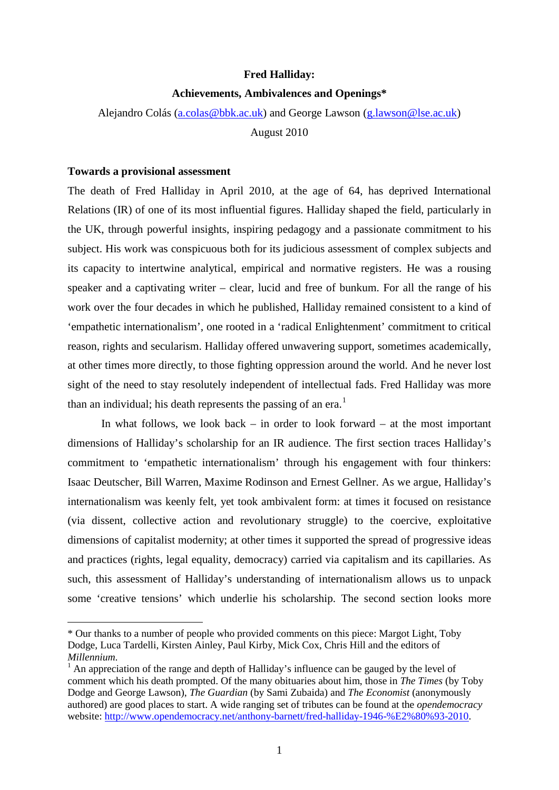#### **Fred Halliday:**

#### **Achievements, Ambivalences and Openings\***

Alejandro Colás [\(a.colas@bbk.ac.uk\)](mailto:a.colas@bbk.ac.uk) and George Lawson [\(g.lawson@lse.ac.uk\)](mailto:g.lawson@lse.ac.uk) August 2010

#### **Towards a provisional assessment**

<u>.</u>

The death of Fred Halliday in April 2010, at the age of 64, has deprived International Relations (IR) of one of its most influential figures. Halliday shaped the field, particularly in the UK, through powerful insights, inspiring pedagogy and a passionate commitment to his subject. His work was conspicuous both for its judicious assessment of complex subjects and its capacity to intertwine analytical, empirical and normative registers. He was a rousing speaker and a captivating writer – clear, lucid and free of bunkum. For all the range of his work over the four decades in which he published, Halliday remained consistent to a kind of 'empathetic internationalism', one rooted in a 'radical Enlightenment' commitment to critical reason, rights and secularism. Halliday offered unwavering support, sometimes academically, at other times more directly, to those fighting oppression around the world. And he never lost sight of the need to stay resolutely independent of intellectual fads. Fred Halliday was more than an individual; his death represents the passing of an era.<sup>[1](#page-1-0)</sup>

<span id="page-1-1"></span>In what follows, we look back – in order to look forward – at the most important dimensions of Halliday's scholarship for an IR audience. The first section traces Halliday's commitment to 'empathetic internationalism' through his engagement with four thinkers: Isaac Deutscher, Bill Warren, Maxime Rodinson and Ernest Gellner. As we argue, Halliday's internationalism was keenly felt, yet took ambivalent form: at times it focused on resistance (via dissent, collective action and revolutionary struggle) to the coercive, exploitative dimensions of capitalist modernity; at other times it supported the spread of progressive ideas and practices (rights, legal equality, democracy) carried via capitalism and its capillaries. As such, this assessment of Halliday's understanding of internationalism allows us to unpack some 'creative tensions' which underlie his scholarship. The second section looks more

<span id="page-1-0"></span><sup>\*</sup> Our thanks to a number of people who provided comments on this piece: Margot Light, Toby Dodge, Luca Tardelli, Kirsten Ainley, Paul Kirby, Mick Cox, Chris Hill and the editors of *Millennium*.<br><sup>1</sup> An appreciation of the range and depth of Halliday's influence can be gauged by the level of

comment which his death prompted. Of the many obituaries about him, those in *The Times* (by Toby Dodge and George Lawson), *The Guardian* (by Sami Zubaida) and *The Economist* (anonymously authored) are good places to start. A wide ranging set of tributes can be found at the *opendemocracy*  website: [http://www.opendemocracy.net/anthony-barnett/fred-halliday-1946-%E2%80%93-2010.](http://www.opendemocracy.net/anthony-barnett/fred-halliday-1946-%E2%80%93-2010)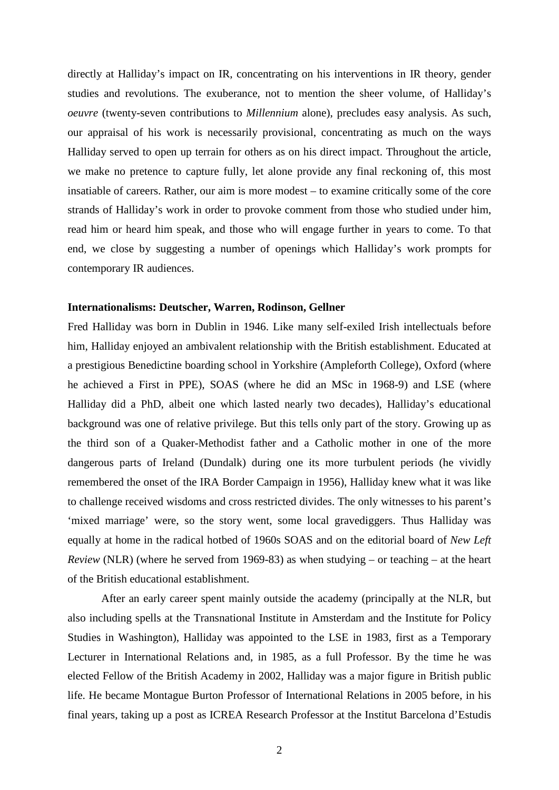directly at Halliday's impact on IR, concentrating on his interventions in IR theory, gender studies and revolutions. The exuberance, not to mention the sheer volume, of Halliday's *oeuvre* (twenty-seven contributions to *Millennium* alone), precludes easy analysis. As such, our appraisal of his work is necessarily provisional, concentrating as much on the ways Halliday served to open up terrain for others as on his direct impact. Throughout the article, we make no pretence to capture fully, let alone provide any final reckoning of, this most insatiable of careers. Rather, our aim is more modest – to examine critically some of the core strands of Halliday's work in order to provoke comment from those who studied under him, read him or heard him speak, and those who will engage further in years to come. To that end, we close by suggesting a number of openings which Halliday's work prompts for contemporary IR audiences.

#### **Internationalisms: Deutscher, Warren, Rodinson, Gellner**

Fred Halliday was born in Dublin in 1946. Like many self-exiled Irish intellectuals before him, Halliday enjoyed an ambivalent relationship with the British establishment. Educated at a prestigious Benedictine boarding school in Yorkshire (Ampleforth College), Oxford (where he achieved a First in PPE), SOAS (where he did an MSc in 1968-9) and LSE (where Halliday did a PhD, albeit one which lasted nearly two decades), Halliday's educational background was one of relative privilege. But this tells only part of the story. Growing up as the third son of a Quaker-Methodist father and a Catholic mother in one of the more dangerous parts of Ireland (Dundalk) during one its more turbulent periods (he vividly remembered the onset of the IRA Border Campaign in 1956), Halliday knew what it was like to challenge received wisdoms and cross restricted divides. The only witnesses to his parent's 'mixed marriage' were, so the story went, some local gravediggers. Thus Halliday was equally at home in the radical hotbed of 1960s SOAS and on the editorial board of *New Left Review* (NLR) (where he served from 1969-83) as when studying – or teaching – at the heart of the British educational establishment.

After an early career spent mainly outside the academy (principally at the NLR, but also including spells at the Transnational Institute in Amsterdam and the Institute for Policy Studies in Washington), Halliday was appointed to the LSE in 1983, first as a Temporary Lecturer in International Relations and, in 1985, as a full Professor. By the time he was elected Fellow of the British Academy in 2002, Halliday was a major figure in British public life. He became Montague Burton Professor of International Relations in 2005 before, in his final years, taking up a post as ICREA Research Professor at the Institut Barcelona d'Estudis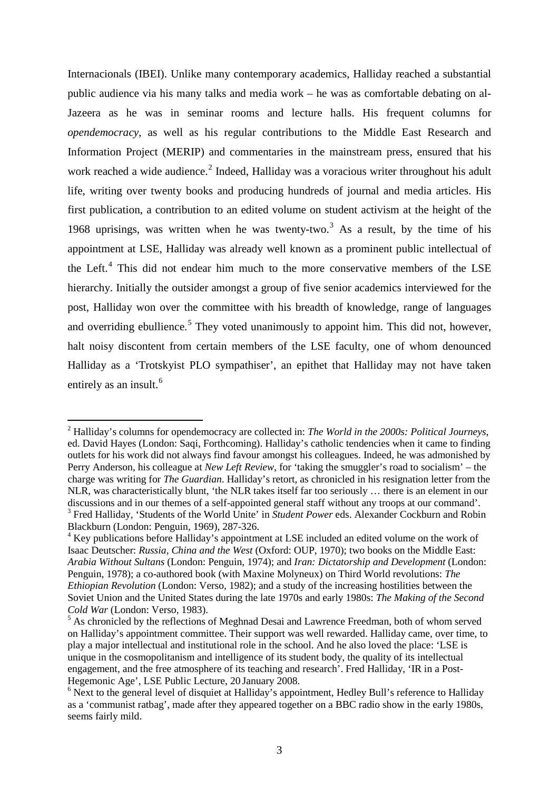Internacionals (IBEI). Unlike many contemporary academics, Halliday reached a substantial public audience via his many talks and media work – he was as comfortable debating on al-Jazeera as he was in seminar rooms and lecture halls. His frequent columns for *opendemocracy*, as well as his regular contributions to the Middle East Research and Information Project (MERIP) and commentaries in the mainstream press, ensured that his work reached a wide audience.<sup>[2](#page-1-1)</sup> Indeed, Halliday was a voracious writer throughout his adult life, writing over twenty books and producing hundreds of journal and media articles. His first publication, a contribution to an edited volume on student activism at the height of the 1968 uprisings, was written when he was twenty-two.<sup>[3](#page-3-0)</sup> As a result, by the time of his appointment at LSE, Halliday was already well known as a prominent public intellectual of the Left.<sup>[4](#page-3-1)</sup> This did not endear him much to the more conservative members of the LSE hierarchy. Initially the outsider amongst a group of five senior academics interviewed for the post, Halliday won over the committee with his breadth of knowledge, range of languages and overriding ebullience.<sup>[5](#page-3-2)</sup> They voted unanimously to appoint him. This did not, however, halt noisy discontent from certain members of the LSE faculty, one of whom denounced Halliday as a 'Trotskyist PLO sympathiser', an epithet that Halliday may not have taken entirely as an insult.<sup>[6](#page-3-3)</sup>

 <sup>2</sup> Halliday's columns for opendemocracy are collected in: *The World in the 2000s: Political Journeys*, ed. David Hayes (London: Saqi, Forthcoming). Halliday's catholic tendencies when it came to finding outlets for his work did not always find favour amongst his colleagues. Indeed, he was admonished by Perry Anderson, his colleague at *New Left Review*, for 'taking the smuggler's road to socialism' – the charge was writing for *The Guardian*. Halliday's retort, as chronicled in his resignation letter from the NLR, was characteristically blunt, 'the NLR takes itself far too seriously … there is an element in our discussions and in our themes of a self-appointed general staff without any troops at our command'. <sup>3</sup> Fred Halliday, 'Students of the World Unite' in *Student Power* eds. Alexander Cockburn and Robin Blackburn (London: Penguin, 1969), 287-326.

<span id="page-3-1"></span><span id="page-3-0"></span><sup>&</sup>lt;sup>4</sup> Key publications before Halliday's appointment at LSE included an edited volume on the work of Isaac Deutscher: *Russia, China and the West* (Oxford: OUP, 1970); two books on the Middle East: *Arabia Without Sultans* (London: Penguin, 1974); and *Iran: Dictatorship and Development* (London: Penguin, 1978); a co-authored book (with Maxine Molyneux) on Third World revolutions: *The Ethiopian Revolution* (London: Verso, 1982); and a study of the increasing hostilities between the Soviet Union and the United States during the late 1970s and early 1980s: *The Making of the Second Cold War* (London: Verso, 1983).

<span id="page-3-2"></span><sup>&</sup>lt;sup>5</sup> As chronicled by the reflections of Meghnad Desai and Lawrence Freedman, both of whom served on Halliday's appointment committee. Their support was well rewarded. Halliday came, over time, to play a major intellectual and institutional role in the school. And he also loved the place: 'LSE is unique in the cosmopolitanism and intelligence of its student body, the quality of its intellectual engagement, and the free atmosphere of its teaching and research'. Fred Halliday, 'IR in a Post-Hegemonic Age', LSE Public Lecture, 20 January 2008.

<span id="page-3-3"></span><sup>&</sup>lt;sup>6</sup> Next to the general level of disquiet at Halliday's appointment, Hedley Bull's reference to Halliday as a 'communist ratbag', made after they appeared together on a BBC radio show in the early 1980s, seems fairly mild.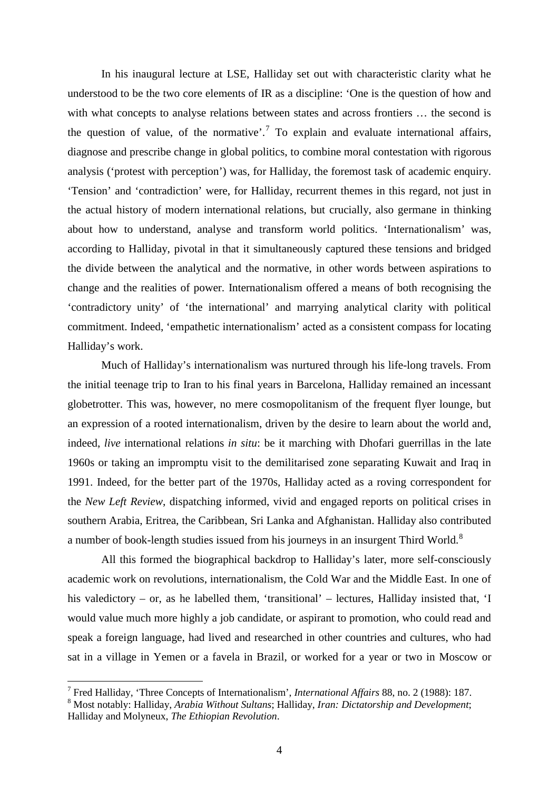In his inaugural lecture at LSE, Halliday set out with characteristic clarity what he understood to be the two core elements of IR as a discipline: 'One is the question of how and with what concepts to analyse relations between states and across frontiers … the second is the question of value, of the normative'.<sup>[7](#page-3-3)</sup> To explain and evaluate international affairs, diagnose and prescribe change in global politics, to combine moral contestation with rigorous analysis ('protest with perception') was, for Halliday, the foremost task of academic enquiry. 'Tension' and 'contradiction' were, for Halliday, recurrent themes in this regard, not just in the actual history of modern international relations, but crucially, also germane in thinking about how to understand, analyse and transform world politics. 'Internationalism' was, according to Halliday, pivotal in that it simultaneously captured these tensions and bridged the divide between the analytical and the normative, in other words between aspirations to change and the realities of power. Internationalism offered a means of both recognising the 'contradictory unity' of 'the international' and marrying analytical clarity with political commitment. Indeed, 'empathetic internationalism' acted as a consistent compass for locating Halliday's work.

Much of Halliday's internationalism was nurtured through his life-long travels. From the initial teenage trip to Iran to his final years in Barcelona, Halliday remained an incessant globetrotter. This was, however, no mere cosmopolitanism of the frequent flyer lounge, but an expression of a rooted internationalism, driven by the desire to learn about the world and, indeed, *live* international relations *in situ*: be it marching with Dhofari guerrillas in the late 1960s or taking an impromptu visit to the demilitarised zone separating Kuwait and Iraq in 1991. Indeed, for the better part of the 1970s, Halliday acted as a roving correspondent for the *New Left Review*, dispatching informed, vivid and engaged reports on political crises in southern Arabia, Eritrea, the Caribbean, Sri Lanka and Afghanistan. Halliday also contributed a number of book-length studies issued from his journeys in an insurgent Third World.<sup>[8](#page-4-0)</sup>

<span id="page-4-1"></span>All this formed the biographical backdrop to Halliday's later, more self-consciously academic work on revolutions, internationalism, the Cold War and the Middle East. In one of his valedictory – or, as he labelled them, 'transitional' – lectures, Halliday insisted that, 'I would value much more highly a job candidate, or aspirant to promotion, who could read and speak a foreign language, had lived and researched in other countries and cultures, who had sat in a village in Yemen or a favela in Brazil, or worked for a year or two in Moscow or

 <sup>7</sup> Fred Halliday, 'Three Concepts of Internationalism', *International Affairs* 88, no. 2 (1988): 187.

<span id="page-4-0"></span><sup>8</sup> Most notably: Halliday, *Arabia Without Sultans*; Halliday, *Iran: Dictatorship and Development*; Halliday and Molyneux, *The Ethiopian Revolution*.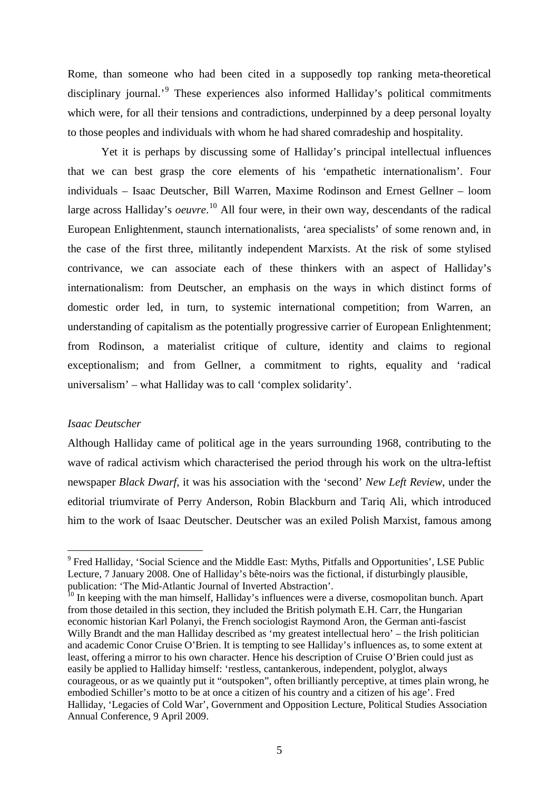Rome, than someone who had been cited in a supposedly top ranking meta-theoretical disciplinary journal.'[9](#page-4-1) These experiences also informed Halliday's political commitments which were, for all their tensions and contradictions, underpinned by a deep personal loyalty to those peoples and individuals with whom he had shared comradeship and hospitality.

Yet it is perhaps by discussing some of Halliday's principal intellectual influences that we can best grasp the core elements of his 'empathetic internationalism'. Four individuals – Isaac Deutscher, Bill Warren, Maxime Rodinson and Ernest Gellner – loom large across Halliday's *oeuvre*.<sup>[10](#page-5-0)</sup> All four were, in their own way, descendants of the radical European Enlightenment, staunch internationalists, 'area specialists' of some renown and, in the case of the first three, militantly independent Marxists. At the risk of some stylised contrivance, we can associate each of these thinkers with an aspect of Halliday's internationalism: from Deutscher, an emphasis on the ways in which distinct forms of domestic order led, in turn, to systemic international competition; from Warren, an understanding of capitalism as the potentially progressive carrier of European Enlightenment; from Rodinson, a materialist critique of culture, identity and claims to regional exceptionalism; and from Gellner, a commitment to rights, equality and 'radical universalism' – what Halliday was to call 'complex solidarity'.

#### *Isaac Deutscher*

Although Halliday came of political age in the years surrounding 1968, contributing to the wave of radical activism which characterised the period through his work on the ultra-leftist newspaper *Black Dwarf*, it was his association with the 'second' *New Left Review*, under the editorial triumvirate of Perry Anderson, Robin Blackburn and Tariq Ali, which introduced him to the work of Isaac Deutscher. Deutscher was an exiled Polish Marxist, famous among

<sup>&</sup>lt;sup>9</sup> Fred Halliday, 'Social Science and the Middle East: Myths, Pitfalls and Opportunities', LSE Public Lecture, 7 January 2008. One of Halliday's bête-noirs was the fictional, if disturbingly plausible, publication: 'The Mid-Atlantic Journal of Inverted Abstraction'.

<span id="page-5-1"></span><span id="page-5-0"></span><sup>&</sup>lt;sup>10</sup> In keeping with the man himself, Halliday's influences were a diverse, cosmopolitan bunch. Apart from those detailed in this section, they included the British polymath E.H. Carr, the Hungarian economic historian Karl Polanyi, the French sociologist Raymond Aron, the German anti-fascist Willy Brandt and the man Halliday described as 'my greatest intellectual hero' – the Irish politician and academic Conor Cruise O'Brien. It is tempting to see Halliday's influences as, to some extent at least, offering a mirror to his own character. Hence his description of Cruise O'Brien could just as easily be applied to Halliday himself: 'restless, cantankerous, independent, polyglot, always courageous, or as we quaintly put it "outspoken", often brilliantly perceptive, at times plain wrong, he embodied Schiller's motto to be at once a citizen of his country and a citizen of his age'. Fred Halliday, 'Legacies of Cold War', Government and Opposition Lecture, Political Studies Association Annual Conference, 9 April 2009.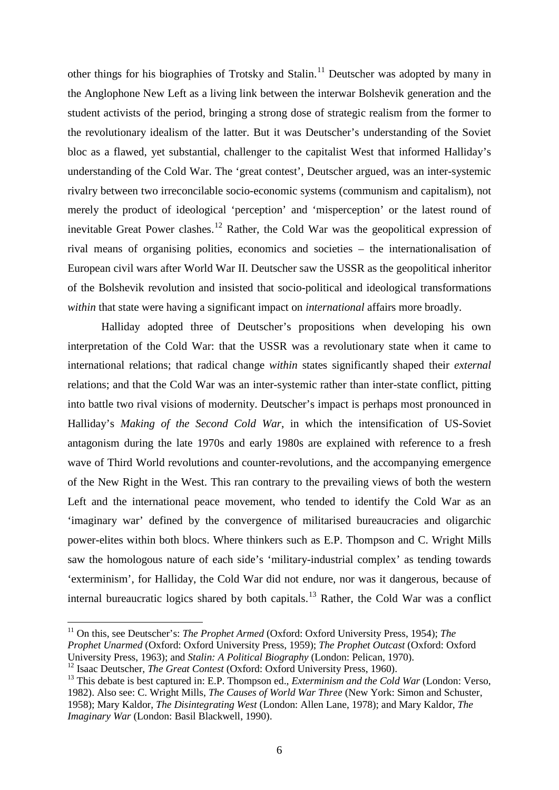other things for his biographies of Trotsky and Stalin.<sup>[11](#page-5-1)</sup> Deutscher was adopted by many in the Anglophone New Left as a living link between the interwar Bolshevik generation and the student activists of the period, bringing a strong dose of strategic realism from the former to the revolutionary idealism of the latter. But it was Deutscher's understanding of the Soviet bloc as a flawed, yet substantial, challenger to the capitalist West that informed Halliday's understanding of the Cold War. The 'great contest', Deutscher argued, was an inter-systemic rivalry between two irreconcilable socio-economic systems (communism and capitalism), not merely the product of ideological 'perception' and 'misperception' or the latest round of inevitable Great Power clashes.<sup>[12](#page-6-0)</sup> Rather, the Cold War was the geopolitical expression of rival means of organising polities, economics and societies – the internationalisation of European civil wars after World War II. Deutscher saw the USSR as the geopolitical inheritor of the Bolshevik revolution and insisted that socio-political and ideological transformations *within* that state were having a significant impact on *international* affairs more broadly.

Halliday adopted three of Deutscher's propositions when developing his own interpretation of the Cold War: that the USSR was a revolutionary state when it came to international relations; that radical change *within* states significantly shaped their *external* relations; and that the Cold War was an inter-systemic rather than inter-state conflict, pitting into battle two rival visions of modernity. Deutscher's impact is perhaps most pronounced in Halliday's *Making of the Second Cold War*, in which the intensification of US-Soviet antagonism during the late 1970s and early 1980s are explained with reference to a fresh wave of Third World revolutions and counter-revolutions, and the accompanying emergence of the New Right in the West. This ran contrary to the prevailing views of both the western Left and the international peace movement, who tended to identify the Cold War as an 'imaginary war' defined by the convergence of militarised bureaucracies and oligarchic power-elites within both blocs. Where thinkers such as E.P. Thompson and C. Wright Mills saw the homologous nature of each side's 'military-industrial complex' as tending towards 'exterminism', for Halliday, the Cold War did not endure, nor was it dangerous, because of internal bureaucratic logics shared by both capitals.<sup>[13](#page-6-1)</sup> Rather, the Cold War was a conflict

<span id="page-6-2"></span><sup>&</sup>lt;sup>11</sup> On this, see Deutscher's: *The Prophet Armed* (Oxford: Oxford University Press, 1954); *The Prophet Unarmed* (Oxford: Oxford University Press, 1959); *The Prophet Outcast* (Oxford: Oxford University Press, 1963); and *Stalin: A Political Biography* (London: Pelican, 1970).

<span id="page-6-0"></span><sup>&</sup>lt;sup>12</sup> Isaac Deutscher, *The Great Contest* (Oxford: Oxford University Press, 1960).

<span id="page-6-1"></span><sup>&</sup>lt;sup>13</sup> This debate is best captured in: E.P. Thompson ed., *Exterminism and the Cold War* (London: Verso, 1982). Also see: C. Wright Mills, *The Causes of World War Three* (New York: Simon and Schuster, 1958); Mary Kaldor, *The Disintegrating West* (London: Allen Lane, 1978); and Mary Kaldor, *The Imaginary War* (London: Basil Blackwell, 1990).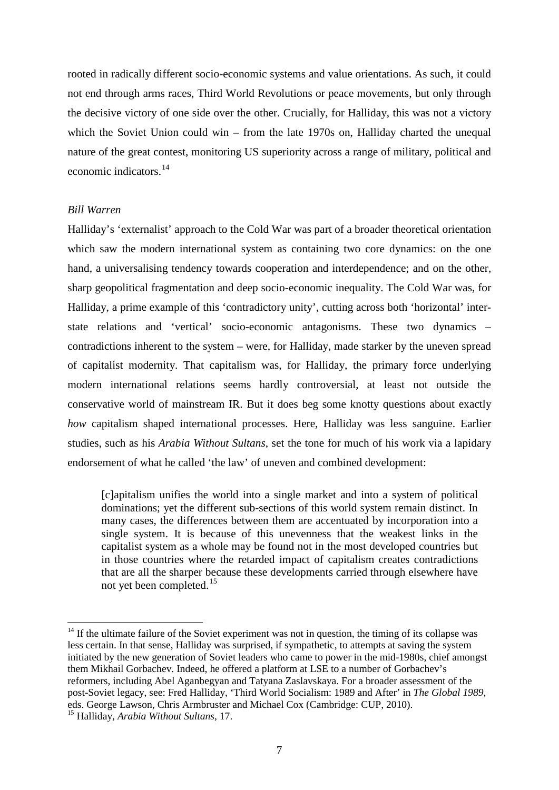rooted in radically different socio-economic systems and value orientations. As such, it could not end through arms races, Third World Revolutions or peace movements, but only through the decisive victory of one side over the other. Crucially, for Halliday, this was not a victory which the Soviet Union could win – from the late 1970s on, Halliday charted the unequal nature of the great contest, monitoring US superiority across a range of military, political and economic indicators.[14](#page-6-2)

#### *Bill Warren*

Halliday's 'externalist' approach to the Cold War was part of a broader theoretical orientation which saw the modern international system as containing two core dynamics: on the one hand, a universalising tendency towards cooperation and interdependence; and on the other, sharp geopolitical fragmentation and deep socio-economic inequality. The Cold War was, for Halliday, a prime example of this 'contradictory unity', cutting across both 'horizontal' interstate relations and 'vertical' socio-economic antagonisms. These two dynamics – contradictions inherent to the system – were, for Halliday, made starker by the uneven spread of capitalist modernity. That capitalism was, for Halliday, the primary force underlying modern international relations seems hardly controversial, at least not outside the conservative world of mainstream IR. But it does beg some knotty questions about exactly *how* capitalism shaped international processes. Here, Halliday was less sanguine. Earlier studies, such as his *Arabia Without Sultans*, set the tone for much of his work via a lapidary endorsement of what he called 'the law' of uneven and combined development:

[c]apitalism unifies the world into a single market and into a system of political dominations; yet the different sub-sections of this world system remain distinct. In many cases, the differences between them are accentuated by incorporation into a single system. It is because of this unevenness that the weakest links in the capitalist system as a whole may be found not in the most developed countries but in those countries where the retarded impact of capitalism creates contradictions that are all the sharper because these developments carried through elsewhere have not yet been completed.<sup>[15](#page-7-0)</sup>

 $14$  If the ultimate failure of the Soviet experiment was not in question, the timing of its collapse was less certain. In that sense, Halliday was surprised, if sympathetic, to attempts at saving the system initiated by the new generation of Soviet leaders who came to power in the mid-1980s, chief amongst them Mikhail Gorbachev. Indeed, he offered a platform at LSE to a number of Gorbachev's reformers, including Abel Aganbegyan and Tatyana Zaslavskaya. For a broader assessment of the post-Soviet legacy, see: Fred Halliday, 'Third World Socialism: 1989 and After' in *The Global 1989*, eds. George Lawson, Chris Armbruster and Michael Cox (Cambridge: CUP, 2010).

<span id="page-7-0"></span><sup>15</sup> Halliday, *Arabia Without Sultans*, 17.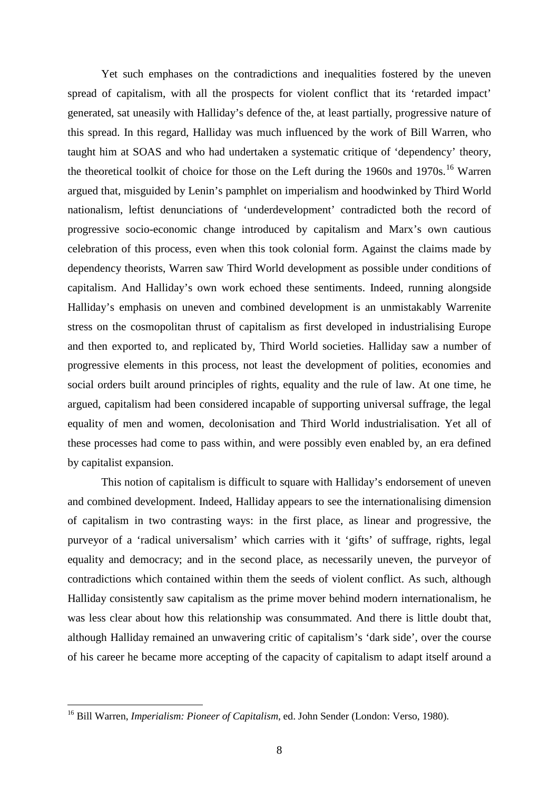Yet such emphases on the contradictions and inequalities fostered by the uneven spread of capitalism, with all the prospects for violent conflict that its 'retarded impact' generated, sat uneasily with Halliday's defence of the, at least partially, progressive nature of this spread. In this regard, Halliday was much influenced by the work of Bill Warren, who taught him at SOAS and who had undertaken a systematic critique of 'dependency' theory, the theoretical toolkit of choice for those on the Left during the 1960s and 1970s.<sup>[16](#page-7-0)</sup> Warren argued that, misguided by Lenin's pamphlet on imperialism and hoodwinked by Third World nationalism, leftist denunciations of 'underdevelopment' contradicted both the record of progressive socio-economic change introduced by capitalism and Marx's own cautious celebration of this process, even when this took colonial form. Against the claims made by dependency theorists, Warren saw Third World development as possible under conditions of capitalism. And Halliday's own work echoed these sentiments. Indeed, running alongside Halliday's emphasis on uneven and combined development is an unmistakably Warrenite stress on the cosmopolitan thrust of capitalism as first developed in industrialising Europe and then exported to, and replicated by, Third World societies. Halliday saw a number of progressive elements in this process, not least the development of polities, economies and social orders built around principles of rights, equality and the rule of law. At one time, he argued, capitalism had been considered incapable of supporting universal suffrage, the legal equality of men and women, decolonisation and Third World industrialisation. Yet all of these processes had come to pass within, and were possibly even enabled by, an era defined by capitalist expansion.

This notion of capitalism is difficult to square with Halliday's endorsement of uneven and combined development. Indeed, Halliday appears to see the internationalising dimension of capitalism in two contrasting ways: in the first place, as linear and progressive, the purveyor of a 'radical universalism' which carries with it 'gifts' of suffrage, rights, legal equality and democracy; and in the second place, as necessarily uneven, the purveyor of contradictions which contained within them the seeds of violent conflict. As such, although Halliday consistently saw capitalism as the prime mover behind modern internationalism, he was less clear about how this relationship was consummated. And there is little doubt that, although Halliday remained an unwavering critic of capitalism's 'dark side', over the course of his career he became more accepting of the capacity of capitalism to adapt itself around a

<span id="page-8-0"></span> <sup>16</sup> Bill Warren, *Imperialism: Pioneer of Capitalism*, ed. John Sender (London: Verso, 1980).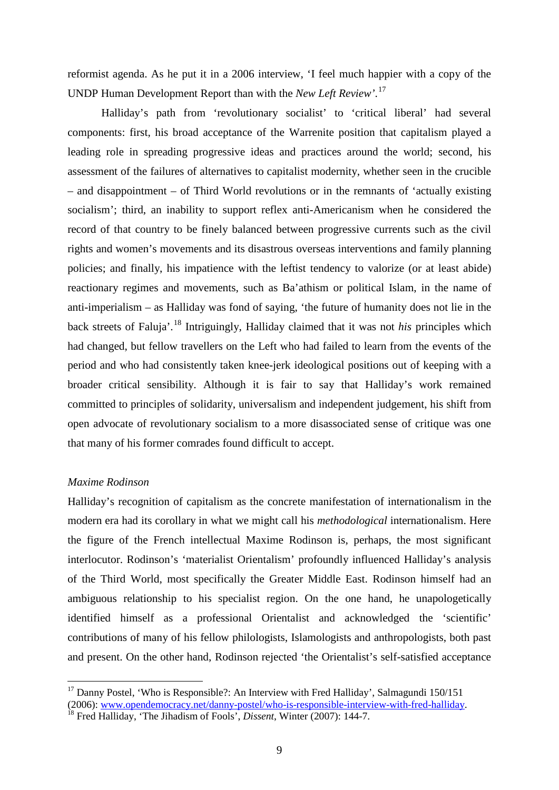reformist agenda. As he put it in a 2006 interview, 'I feel much happier with a copy of the UNDP Human Development Report than with the *New Left Review'*. [17](#page-8-0)

Halliday's path from 'revolutionary socialist' to 'critical liberal' had several components: first, his broad acceptance of the Warrenite position that capitalism played a leading role in spreading progressive ideas and practices around the world; second, his assessment of the failures of alternatives to capitalist modernity, whether seen in the crucible – and disappointment – of Third World revolutions or in the remnants of 'actually existing socialism'; third, an inability to support reflex anti-Americanism when he considered the record of that country to be finely balanced between progressive currents such as the civil rights and women's movements and its disastrous overseas interventions and family planning policies; and finally, his impatience with the leftist tendency to valorize (or at least abide) reactionary regimes and movements, such as Ba'athism or political Islam, in the name of anti-imperialism – as Halliday was fond of saying, 'the future of humanity does not lie in the back streets of Faluja'. [18](#page-9-0) Intriguingly, Halliday claimed that it was not *his* principles which had changed, but fellow travellers on the Left who had failed to learn from the events of the period and who had consistently taken knee-jerk ideological positions out of keeping with a broader critical sensibility. Although it is fair to say that Halliday's work remained committed to principles of solidarity, universalism and independent judgement, his shift from open advocate of revolutionary socialism to a more disassociated sense of critique was one that many of his former comrades found difficult to accept.

#### *Maxime Rodinson*

Halliday's recognition of capitalism as the concrete manifestation of internationalism in the modern era had its corollary in what we might call his *methodological* internationalism. Here the figure of the French intellectual Maxime Rodinson is, perhaps, the most significant interlocutor. Rodinson's 'materialist Orientalism' profoundly influenced Halliday's analysis of the Third World, most specifically the Greater Middle East. Rodinson himself had an ambiguous relationship to his specialist region. On the one hand, he unapologetically identified himself as a professional Orientalist and acknowledged the 'scientific' contributions of many of his fellow philologists, Islamologists and anthropologists, both past and present. On the other hand, Rodinson rejected 'the Orientalist's self-satisfied acceptance

<span id="page-9-1"></span><sup>&</sup>lt;sup>17</sup> Danny Postel, 'Who is Responsible?: An Interview with Fred Halliday', Salmagundi 150/151 (2006): [www.opendemocracy.net/danny-postel/who-is-responsible-interview-with-fred-halliday.](http://www.opendemocracy.net/danny-postel/who-is-responsible-interview-with-fred-halliday) 18 Fred Halliday, 'The Jihadism of Fools', *Dissent*, Winter (2007): 144-7.

<span id="page-9-0"></span>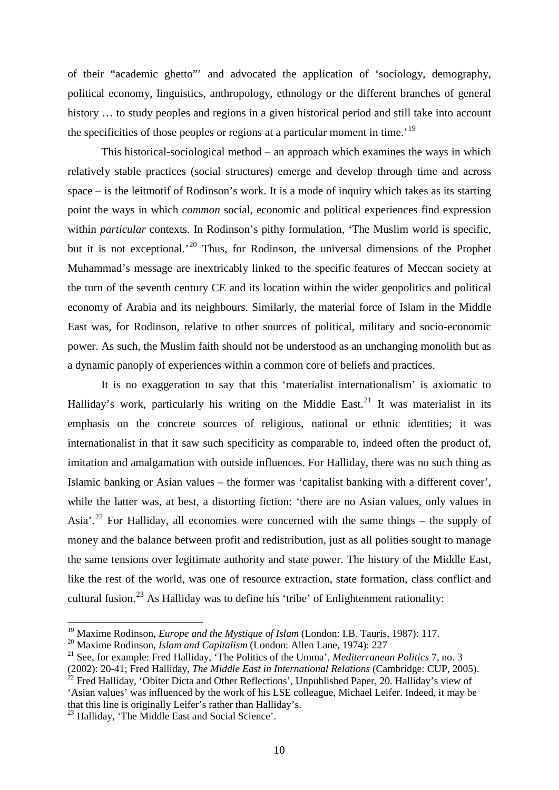of their "academic ghetto"' and advocated the application of 'sociology, demography, political economy, linguistics, anthropology, ethnology or the different branches of general history ... to study peoples and regions in a given historical period and still take into account the specificities of those peoples or regions at a particular moment in time.<sup>'[19](#page-9-1)</sup>

This historical-sociological method – an approach which examines the ways in which relatively stable practices (social structures) emerge and develop through time and across space – is the leitmotif of Rodinson's work. It is a mode of inquiry which takes as its starting point the ways in which *common* social, economic and political experiences find expression within *particular* contexts. In Rodinson's pithy formulation, 'The Muslim world is specific, but it is not exceptional.<sup>[20](#page-10-0)</sup> Thus, for Rodinson, the universal dimensions of the Prophet Muhammad's message are inextricably linked to the specific features of Meccan society at the turn of the seventh century CE and its location within the wider geopolitics and political economy of Arabia and its neighbours. Similarly, the material force of Islam in the Middle East was, for Rodinson, relative to other sources of political, military and socio-economic power. As such, the Muslim faith should not be understood as an unchanging monolith but as a dynamic panoply of experiences within a common core of beliefs and practices.

It is no exaggeration to say that this 'materialist internationalism' is axiomatic to Halliday's work, particularly his writing on the Middle East.<sup>[21](#page-10-1)</sup> It was materialist in its emphasis on the concrete sources of religious, national or ethnic identities; it was internationalist in that it saw such specificity as comparable to, indeed often the product of, imitation and amalgamation with outside influences. For Halliday, there was no such thing as Islamic banking or Asian values – the former was 'capitalist banking with a different cover', while the latter was, at best, a distorting fiction: 'there are no Asian values, only values in Asia'.<sup>[22](#page-10-2)</sup> For Halliday, all economies were concerned with the same things – the supply of money and the balance between profit and redistribution, just as all polities sought to manage the same tensions over legitimate authority and state power. The history of the Middle East, like the rest of the world, was one of resource extraction, state formation, class conflict and cultural fusion.<sup>[23](#page-10-3)</sup> As Halliday was to define his 'tribe' of Enlightenment rationality:

<span id="page-10-4"></span> <sup>19</sup> Maxime Rodinson, *Europe and the Mystique of Islam* (London: I.B. Tauris, 1987): 117.

<span id="page-10-0"></span><sup>20</sup> Maxime Rodinson, *Islam and Capitalism* (London: Allen Lane, 1974): 227

<span id="page-10-1"></span><sup>21</sup> See, for example: Fred Halliday, 'The Politics of the Umma', *Mediterranean Politics* 7, no. 3

<sup>(2002): 20-41;</sup> Fred Halliday, *The Middle East in International Relations* (Cambridge: CUP, 2005).

<span id="page-10-2"></span><sup>&</sup>lt;sup>22</sup> Fred Halliday, 'Obiter Dicta and Other Reflections', Unpublished Paper, 20. Halliday's view of 'Asian values' was influenced by the work of his LSE colleague, Michael Leifer. Indeed, it may be that this line is originally Leifer's rather than Halliday's.

<span id="page-10-3"></span><sup>&</sup>lt;sup>23</sup> Halliday, 'The Middle East and Social Science'.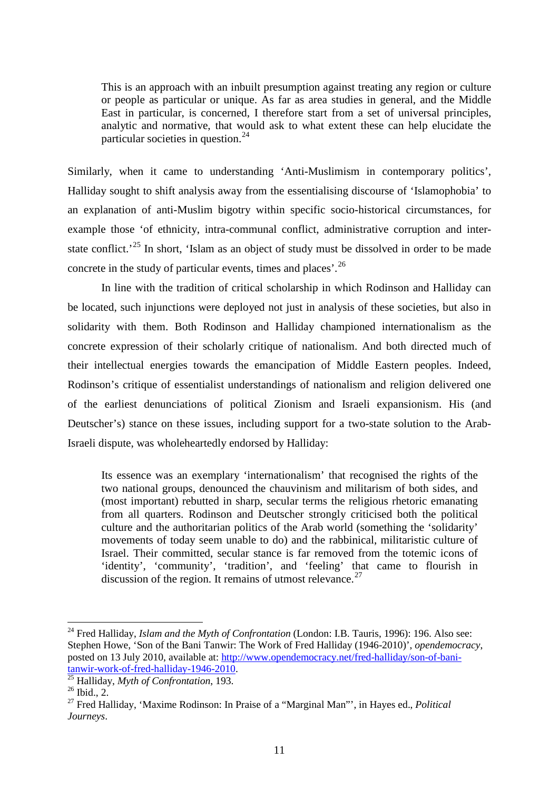This is an approach with an inbuilt presumption against treating any region or culture or people as particular or unique. As far as area studies in general, and the Middle East in particular, is concerned, I therefore start from a set of universal principles, analytic and normative, that would ask to what extent these can help elucidate the particular societies in question.<sup>[24](#page-10-4)</sup>

Similarly, when it came to understanding 'Anti-Muslimism in contemporary politics', Halliday sought to shift analysis away from the essentialising discourse of 'Islamophobia' to an explanation of anti-Muslim bigotry within specific socio-historical circumstances, for example those 'of ethnicity, intra-communal conflict, administrative corruption and inter-state conflict.<sup>[25](#page-11-0)</sup> In short, 'Islam as an object of study must be dissolved in order to be made concrete in the study of particular events, times and places'.[26](#page-11-1)

In line with the tradition of critical scholarship in which Rodinson and Halliday can be located, such injunctions were deployed not just in analysis of these societies, but also in solidarity with them. Both Rodinson and Halliday championed internationalism as the concrete expression of their scholarly critique of nationalism. And both directed much of their intellectual energies towards the emancipation of Middle Eastern peoples. Indeed, Rodinson's critique of essentialist understandings of nationalism and religion delivered one of the earliest denunciations of political Zionism and Israeli expansionism. His (and Deutscher's) stance on these issues, including support for a two-state solution to the Arab-Israeli dispute, was wholeheartedly endorsed by Halliday:

Its essence was an exemplary 'internationalism' that recognised the rights of the two national groups, denounced the chauvinism and militarism of both sides, and (most important) rebutted in sharp, secular terms the religious rhetoric emanating from all quarters. Rodinson and Deutscher strongly criticised both the political culture and the authoritarian politics of the Arab world (something the 'solidarity' movements of today seem unable to do) and the rabbinical, militaristic culture of Israel. Their committed, secular stance is far removed from the totemic icons of 'identity', 'community', 'tradition', and 'feeling' that came to flourish in discussion of the region. It remains of utmost relevance.<sup>[27](#page-11-2)</sup>

<sup>&</sup>lt;sup>24</sup> Fred Halliday, *Islam and the Myth of Confrontation* (London: I.B. Tauris, 1996): 196. Also see: Stephen Howe, 'Son of the Bani Tanwir: The Work of Fred Halliday (1946-2010)', *opendemocracy*, posted on 13 July 2010, available at[: http://www.opendemocracy.net/fred-halliday/son-of-bani](http://www.opendemocracy.net/fred-halliday/son-of-bani-tanwir-work-of-fred-halliday-1946-2010)[tanwir-work-of-fred-halliday-1946-2010.](http://www.opendemocracy.net/fred-halliday/son-of-bani-tanwir-work-of-fred-halliday-1946-2010) <sup>25</sup> Halliday, *Myth of Confrontation*, 193.

<span id="page-11-0"></span>

<span id="page-11-1"></span> $26$  Ibid., 2.

<span id="page-11-2"></span><sup>27</sup> Fred Halliday, 'Maxime Rodinson: In Praise of a "Marginal Man"', in Hayes ed., *Political Journeys*.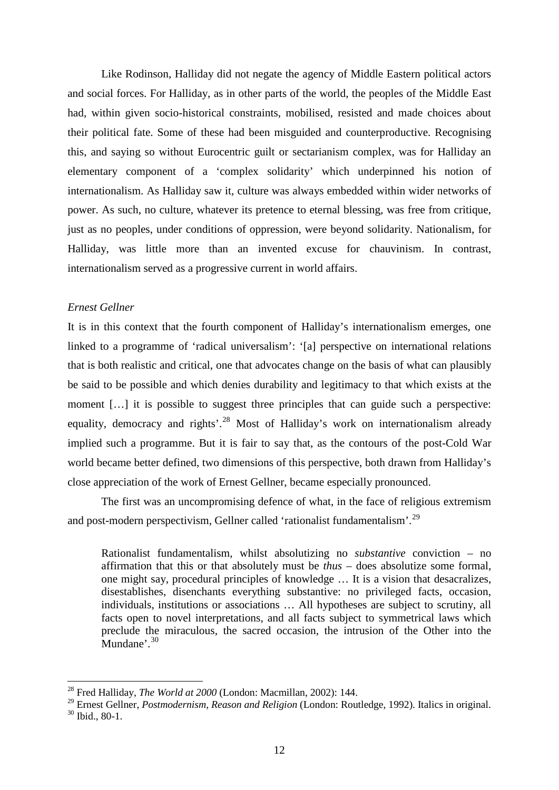Like Rodinson, Halliday did not negate the agency of Middle Eastern political actors and social forces. For Halliday, as in other parts of the world, the peoples of the Middle East had, within given socio-historical constraints, mobilised, resisted and made choices about their political fate. Some of these had been misguided and counterproductive. Recognising this, and saying so without Eurocentric guilt or sectarianism complex, was for Halliday an elementary component of a 'complex solidarity' which underpinned his notion of internationalism. As Halliday saw it, culture was always embedded within wider networks of power. As such, no culture, whatever its pretence to eternal blessing, was free from critique, just as no peoples, under conditions of oppression, were beyond solidarity. Nationalism, for Halliday, was little more than an invented excuse for chauvinism. In contrast, internationalism served as a progressive current in world affairs.

#### *Ernest Gellner*

It is in this context that the fourth component of Halliday's internationalism emerges, one linked to a programme of 'radical universalism': '[a] perspective on international relations that is both realistic and critical, one that advocates change on the basis of what can plausibly be said to be possible and which denies durability and legitimacy to that which exists at the moment [...] it is possible to suggest three principles that can guide such a perspective: equality, democracy and rights'.<sup>[28](#page-11-1)</sup> Most of Halliday's work on internationalism already implied such a programme. But it is fair to say that, as the contours of the post-Cold War world became better defined, two dimensions of this perspective, both drawn from Halliday's close appreciation of the work of Ernest Gellner, became especially pronounced.

The first was an uncompromising defence of what, in the face of religious extremism and post-modern perspectivism, Gellner called 'rationalist fundamentalism'.<sup>[29](#page-12-0)</sup>

Rationalist fundamentalism, whilst absolutizing no *substantive* conviction – no affirmation that this or that absolutely must be *thus* – does absolutize some formal, one might say, procedural principles of knowledge … It is a vision that desacralizes, disestablishes, disenchants everything substantive: no privileged facts, occasion, individuals, institutions or associations … All hypotheses are subject to scrutiny, all facts open to novel interpretations, and all facts subject to symmetrical laws which preclude the miraculous, the sacred occasion, the intrusion of the Other into the Mundane'.<sup>[30](#page-12-1)</sup>

<span id="page-12-2"></span> <sup>28</sup> Fred Halliday, *The World at 2000* (London: Macmillan, 2002): 144.

<span id="page-12-1"></span><span id="page-12-0"></span><sup>29</sup> Ernest Gellner, *Postmodernism, Reason and Religion* (London: Routledge, 1992). Italics in original.  $30$  Ibid., 80-1.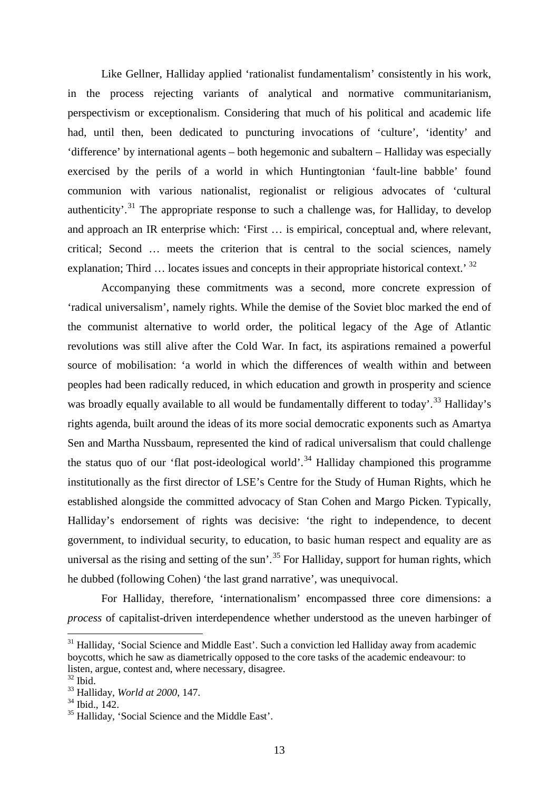Like Gellner, Halliday applied 'rationalist fundamentalism' consistently in his work, in the process rejecting variants of analytical and normative communitarianism, perspectivism or exceptionalism. Considering that much of his political and academic life had, until then, been dedicated to puncturing invocations of 'culture', 'identity' and 'difference' by international agents – both hegemonic and subaltern – Halliday was especially exercised by the perils of a world in which Huntingtonian 'fault-line babble' found communion with various nationalist, regionalist or religious advocates of 'cultural authenticity'.<sup>[31](#page-12-2)</sup> The appropriate response to such a challenge was, for Halliday, to develop and approach an IR enterprise which: 'First … is empirical, conceptual and, where relevant, critical; Second … meets the criterion that is central to the social sciences, namely explanation; Third  $\ldots$  locates issues and concepts in their appropriate historical context.<sup>[32](#page-13-0)</sup>

Accompanying these commitments was a second, more concrete expression of 'radical universalism', namely rights. While the demise of the Soviet bloc marked the end of the communist alternative to world order, the political legacy of the Age of Atlantic revolutions was still alive after the Cold War. In fact, its aspirations remained a powerful source of mobilisation: 'a world in which the differences of wealth within and between peoples had been radically reduced, in which education and growth in prosperity and science was broadly equally available to all would be fundamentally different to today'.<sup>[33](#page-13-1)</sup> Halliday's rights agenda, built around the ideas of its more social democratic exponents such as Amartya Sen and Martha Nussbaum, represented the kind of radical universalism that could challenge the status quo of our 'flat post-ideological world'.<sup>[34](#page-13-2)</sup> Halliday championed this programme institutionally as the first director of LSE's Centre for the Study of Human Rights, which he established alongside the committed advocacy of Stan Cohen and Margo Picken. Typically, Halliday's endorsement of rights was decisive: 'the right to independence, to decent government, to individual security, to education, to basic human respect and equality are as universal as the rising and setting of the sun'.<sup>[35](#page-13-3)</sup> For Halliday, support for human rights, which he dubbed (following Cohen) 'the last grand narrative', was unequivocal.

For Halliday, therefore, 'internationalism' encompassed three core dimensions: a *process* of capitalist-driven interdependence whether understood as the uneven harbinger of

<sup>&</sup>lt;sup>31</sup> Halliday, 'Social Science and Middle East'. Such a conviction led Halliday away from academic boycotts, which he saw as diametrically opposed to the core tasks of the academic endeavour: to listen, argue, contest and, where necessary, disagree.

<span id="page-13-0"></span> $32$  Ibid.

<span id="page-13-1"></span><sup>33</sup> Halliday, *World at 2000*, 147.

<span id="page-13-2"></span><sup>34</sup> Ibid., 142.

<span id="page-13-3"></span><sup>&</sup>lt;sup>35</sup> Halliday, 'Social Science and the Middle East'.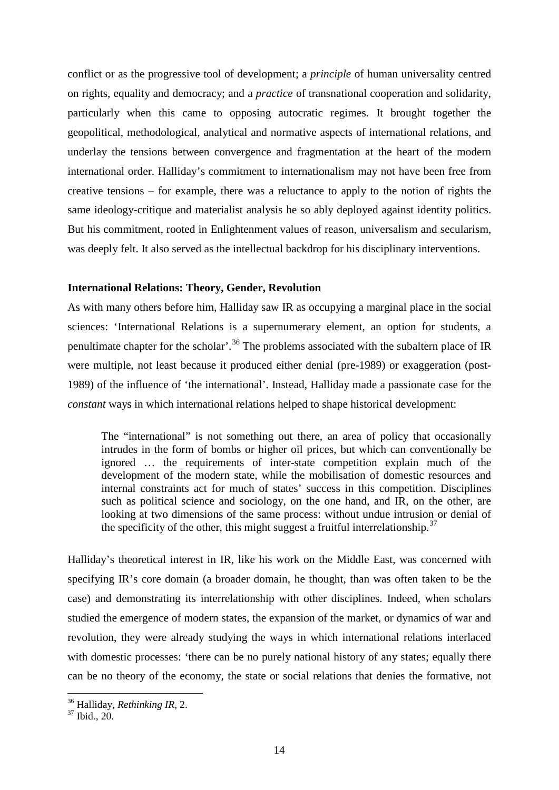conflict or as the progressive tool of development; a *principle* of human universality centred on rights, equality and democracy; and a *practice* of transnational cooperation and solidarity, particularly when this came to opposing autocratic regimes. It brought together the geopolitical, methodological, analytical and normative aspects of international relations, and underlay the tensions between convergence and fragmentation at the heart of the modern international order. Halliday's commitment to internationalism may not have been free from creative tensions – for example, there was a reluctance to apply to the notion of rights the same ideology-critique and materialist analysis he so ably deployed against identity politics. But his commitment, rooted in Enlightenment values of reason, universalism and secularism, was deeply felt. It also served as the intellectual backdrop for his disciplinary interventions.

#### **International Relations: Theory, Gender, Revolution**

As with many others before him, Halliday saw IR as occupying a marginal place in the social sciences: 'International Relations is a supernumerary element, an option for students, a penultimate chapter for the scholar'.<sup>[36](#page-13-2)</sup> The problems associated with the subaltern place of IR were multiple, not least because it produced either denial (pre-1989) or exaggeration (post-1989) of the influence of 'the international'. Instead, Halliday made a passionate case for the *constant* ways in which international relations helped to shape historical development:

The "international" is not something out there, an area of policy that occasionally intrudes in the form of bombs or higher oil prices, but which can conventionally be ignored … the requirements of inter-state competition explain much of the development of the modern state, while the mobilisation of domestic resources and internal constraints act for much of states' success in this competition. Disciplines such as political science and sociology, on the one hand, and IR, on the other, are looking at two dimensions of the same process: without undue intrusion or denial of the specificity of the other, this might suggest a fruitful interrelationship.<sup>[37](#page-14-0)</sup>

Halliday's theoretical interest in IR, like his work on the Middle East, was concerned with specifying IR's core domain (a broader domain, he thought, than was often taken to be the case) and demonstrating its interrelationship with other disciplines. Indeed, when scholars studied the emergence of modern states, the expansion of the market, or dynamics of war and revolution, they were already studying the ways in which international relations interlaced with domestic processes: 'there can be no purely national history of any states; equally there can be no theory of the economy, the state or social relations that denies the formative, not

<span id="page-14-1"></span> <sup>36</sup> Halliday, *Rethinking IR*, 2.

<span id="page-14-0"></span> $37$  Ibid.,  $20$ .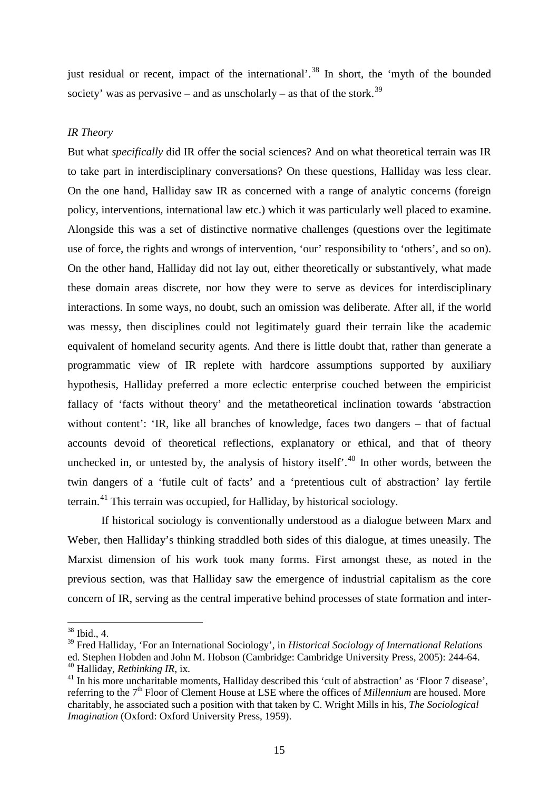just residual or recent, impact of the international'.<sup>[38](#page-14-1)</sup> In short, the 'myth of the bounded society' was as pervasive – and as unscholarly – as that of the stork.<sup>[39](#page-15-0)</sup>

#### *IR Theory*

But what *specifically* did IR offer the social sciences? And on what theoretical terrain was IR to take part in interdisciplinary conversations? On these questions, Halliday was less clear. On the one hand, Halliday saw IR as concerned with a range of analytic concerns (foreign policy, interventions, international law etc.) which it was particularly well placed to examine. Alongside this was a set of distinctive normative challenges (questions over the legitimate use of force, the rights and wrongs of intervention, 'our' responsibility to 'others', and so on). On the other hand, Halliday did not lay out, either theoretically or substantively, what made these domain areas discrete, nor how they were to serve as devices for interdisciplinary interactions. In some ways, no doubt, such an omission was deliberate. After all, if the world was messy, then disciplines could not legitimately guard their terrain like the academic equivalent of homeland security agents. And there is little doubt that, rather than generate a programmatic view of IR replete with hardcore assumptions supported by auxiliary hypothesis, Halliday preferred a more eclectic enterprise couched between the empiricist fallacy of 'facts without theory' and the metatheoretical inclination towards 'abstraction without content': 'IR, like all branches of knowledge, faces two dangers – that of factual accounts devoid of theoretical reflections, explanatory or ethical, and that of theory unchecked in, or untested by, the analysis of history itself<sup> $40$ </sup>. In other words, between the twin dangers of a 'futile cult of facts' and a 'pretentious cult of abstraction' lay fertile terrain.<sup>[41](#page-15-2)</sup> This terrain was occupied, for Halliday, by historical sociology.

<span id="page-15-3"></span>If historical sociology is conventionally understood as a dialogue between Marx and Weber, then Halliday's thinking straddled both sides of this dialogue, at times uneasily. The Marxist dimension of his work took many forms. First amongst these, as noted in the previous section, was that Halliday saw the emergence of industrial capitalism as the core concern of IR, serving as the central imperative behind processes of state formation and inter-

 $38$  Ibid., 4.

<span id="page-15-0"></span><sup>39</sup> Fred Halliday, 'For an International Sociology', in *Historical Sociology of International Relations*  ed. Stephen Hobden and John M. Hobson (Cambridge: Cambridge University Press, 2005): 244-64. <sup>40</sup> Halliday, *Rethinking IR*, ix.

<span id="page-15-2"></span><span id="page-15-1"></span><sup>&</sup>lt;sup>41</sup> In his more uncharitable moments, Halliday described this 'cult of abstraction' as 'Floor 7 disease', referring to the 7<sup>th</sup> Floor of Clement House at LSE where the offices of *Millennium* are housed. More charitably, he associated such a position with that taken by C. Wright Mills in his, *The Sociological Imagination* (Oxford: Oxford University Press, 1959).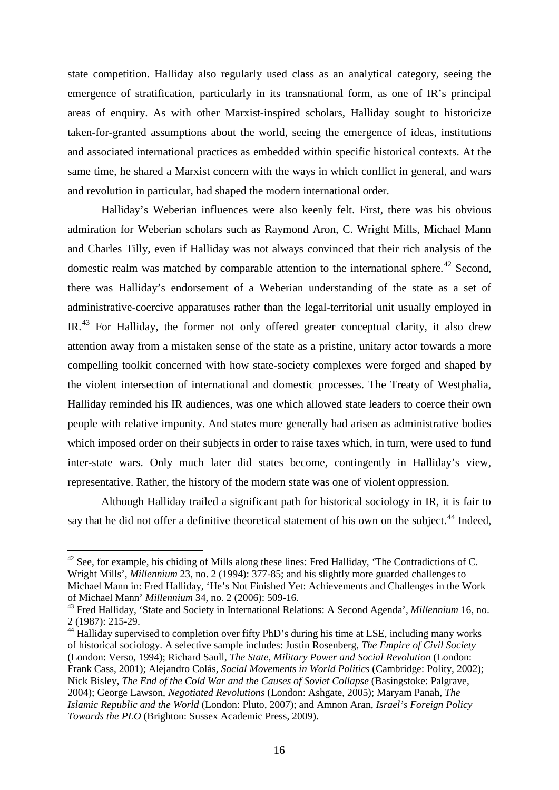state competition. Halliday also regularly used class as an analytical category, seeing the emergence of stratification, particularly in its transnational form, as one of IR's principal areas of enquiry. As with other Marxist-inspired scholars, Halliday sought to historicize taken-for-granted assumptions about the world, seeing the emergence of ideas, institutions and associated international practices as embedded within specific historical contexts. At the same time, he shared a Marxist concern with the ways in which conflict in general, and wars and revolution in particular, had shaped the modern international order.

Halliday's Weberian influences were also keenly felt. First, there was his obvious admiration for Weberian scholars such as Raymond Aron, C. Wright Mills, Michael Mann and Charles Tilly, even if Halliday was not always convinced that their rich analysis of the domestic realm was matched by comparable attention to the international sphere.<sup>[42](#page-15-3)</sup> Second, there was Halliday's endorsement of a Weberian understanding of the state as a set of administrative-coercive apparatuses rather than the legal-territorial unit usually employed in  $IR<sup>43</sup>$  $IR<sup>43</sup>$  $IR<sup>43</sup>$  For Halliday, the former not only offered greater conceptual clarity, it also drew attention away from a mistaken sense of the state as a pristine, unitary actor towards a more compelling toolkit concerned with how state-society complexes were forged and shaped by the violent intersection of international and domestic processes. The Treaty of Westphalia, Halliday reminded his IR audiences, was one which allowed state leaders to coerce their own people with relative impunity. And states more generally had arisen as administrative bodies which imposed order on their subjects in order to raise taxes which, in turn, were used to fund inter-state wars. Only much later did states become, contingently in Halliday's view, representative. Rather, the history of the modern state was one of violent oppression.

Although Halliday trailed a significant path for historical sociology in IR, it is fair to say that he did not offer a definitive theoretical statement of his own on the subject.<sup>[44](#page-16-1)</sup> Indeed,

 $42$  See, for example, his chiding of Mills along these lines: Fred Halliday, 'The Contradictions of C. Wright Mills', *Millennium* 23, no. 2 (1994): 377-85; and his slightly more guarded challenges to Michael Mann in: Fred Halliday, 'He's Not Finished Yet: Achievements and Challenges in the Work of Michael Mann' *Millennium* 34, no. 2 (2006): 509-16.

<span id="page-16-0"></span><sup>43</sup> Fred Halliday, 'State and Society in International Relations: A Second Agenda', *Millennium* 16, no. 2 (1987): 215-29.

<span id="page-16-2"></span><span id="page-16-1"></span><sup>&</sup>lt;sup>44</sup> Halliday supervised to completion over fifty PhD's during his time at LSE, including many works of historical sociology. A selective sample includes: Justin Rosenberg, *The Empire of Civil Society*  (London: Verso, 1994); Richard Saull, *The State, Military Power and Social Revolution* (London: Frank Cass, 2001); Alejandro Colás, *Social Movements in World Politics* (Cambridge: Polity, 2002); Nick Bisley, *The End of the Cold War and the Causes of Soviet Collapse* (Basingstoke: Palgrave, 2004); George Lawson, *Negotiated Revolutions* (London: Ashgate, 2005); Maryam Panah, *The Islamic Republic and the World* (London: Pluto, 2007); and Amnon Aran, *Israel's Foreign Policy Towards the PLO* (Brighton: Sussex Academic Press, 2009).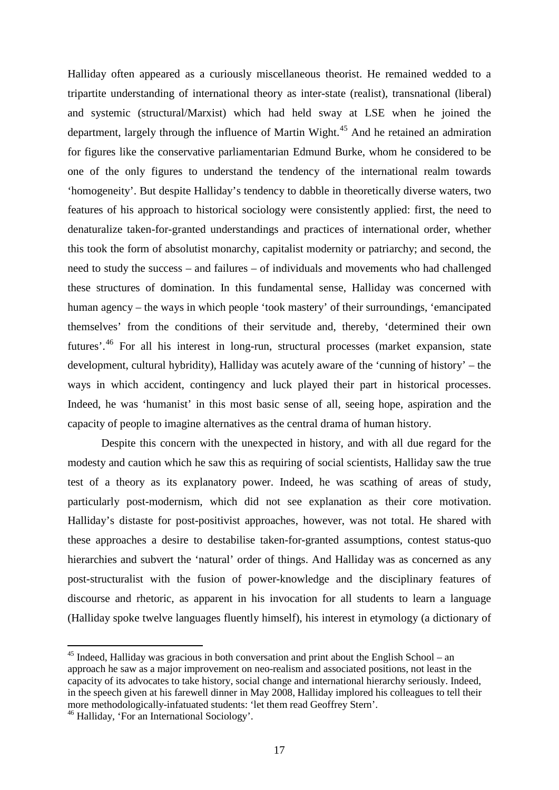Halliday often appeared as a curiously miscellaneous theorist. He remained wedded to a tripartite understanding of international theory as inter-state (realist), transnational (liberal) and systemic (structural/Marxist) which had held sway at LSE when he joined the department, largely through the influence of Martin Wight.<sup>[45](#page-16-2)</sup> And he retained an admiration for figures like the conservative parliamentarian Edmund Burke, whom he considered to be one of the only figures to understand the tendency of the international realm towards 'homogeneity'. But despite Halliday's tendency to dabble in theoretically diverse waters, two features of his approach to historical sociology were consistently applied: first, the need to denaturalize taken-for-granted understandings and practices of international order, whether this took the form of absolutist monarchy, capitalist modernity or patriarchy; and second, the need to study the success – and failures – of individuals and movements who had challenged these structures of domination. In this fundamental sense, Halliday was concerned with human agency – the ways in which people 'took mastery' of their surroundings, 'emancipated themselves' from the conditions of their servitude and, thereby, 'determined their own futures'.[46](#page-17-0) For all his interest in long-run, structural processes (market expansion, state development, cultural hybridity), Halliday was acutely aware of the 'cunning of history' – the ways in which accident, contingency and luck played their part in historical processes. Indeed, he was 'humanist' in this most basic sense of all, seeing hope, aspiration and the capacity of people to imagine alternatives as the central drama of human history.

Despite this concern with the unexpected in history, and with all due regard for the modesty and caution which he saw this as requiring of social scientists, Halliday saw the true test of a theory as its explanatory power. Indeed, he was scathing of areas of study, particularly post-modernism, which did not see explanation as their core motivation. Halliday's distaste for post-positivist approaches, however, was not total. He shared with these approaches a desire to destabilise taken-for-granted assumptions, contest status-quo hierarchies and subvert the 'natural' order of things. And Halliday was as concerned as any post-structuralist with the fusion of power-knowledge and the disciplinary features of discourse and rhetoric, as apparent in his invocation for all students to learn a language (Halliday spoke twelve languages fluently himself), his interest in etymology (a dictionary of

<span id="page-17-1"></span> $45$  Indeed, Halliday was gracious in both conversation and print about the English School – an approach he saw as a major improvement on neo-realism and associated positions, not least in the capacity of its advocates to take history, social change and international hierarchy seriously. Indeed, in the speech given at his farewell dinner in May 2008, Halliday implored his colleagues to tell their more methodologically-infatuated students: 'let them read Geoffrey Stern'. <sup>46</sup> Halliday, 'For an International Sociology'.

<span id="page-17-0"></span>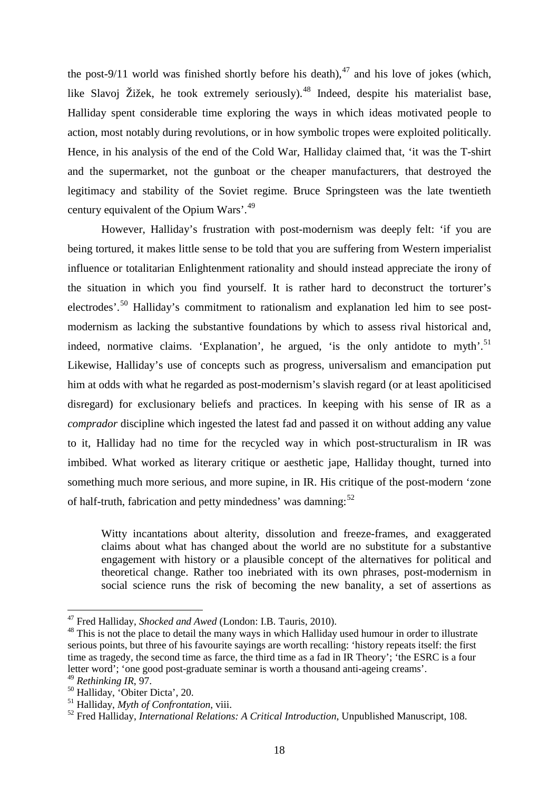the post-9/11 world was finished shortly before his death),  $47$  and his love of jokes (which, like Slavoj Žižek, he took extremely seriously).<sup>[48](#page-18-0)</sup> Indeed, despite his materialist base, Halliday spent considerable time exploring the ways in which ideas motivated people to action, most notably during revolutions, or in how symbolic tropes were exploited politically. Hence, in his analysis of the end of the Cold War, Halliday claimed that, 'it was the T-shirt and the supermarket, not the gunboat or the cheaper manufacturers, that destroyed the legitimacy and stability of the Soviet regime. Bruce Springsteen was the late twentieth century equivalent of the Opium Wars'.<sup>[49](#page-18-1)</sup>

However, Halliday's frustration with post-modernism was deeply felt: 'if you are being tortured, it makes little sense to be told that you are suffering from Western imperialist influence or totalitarian Enlightenment rationality and should instead appreciate the irony of the situation in which you find yourself. It is rather hard to deconstruct the torturer's electrodes'.[50](#page-18-2) Halliday's commitment to rationalism and explanation led him to see postmodernism as lacking the substantive foundations by which to assess rival historical and, indeed, normative claims. 'Explanation', he argued, 'is the only antidote to myth'.<sup>[51](#page-18-3)</sup> Likewise, Halliday's use of concepts such as progress, universalism and emancipation put him at odds with what he regarded as post-modernism's slavish regard (or at least apoliticised disregard) for exclusionary beliefs and practices. In keeping with his sense of IR as a *comprador* discipline which ingested the latest fad and passed it on without adding any value to it, Halliday had no time for the recycled way in which post-structuralism in IR was imbibed. What worked as literary critique or aesthetic jape, Halliday thought, turned into something much more serious, and more supine, in IR. His critique of the post-modern 'zone of half-truth, fabrication and petty mindedness' was damning:<sup>[52](#page-18-4)</sup>

Witty incantations about alterity, dissolution and freeze-frames, and exaggerated claims about what has changed about the world are no substitute for a substantive engagement with history or a plausible concept of the alternatives for political and theoretical change. Rather too inebriated with its own phrases, post-modernism in social science runs the risk of becoming the new banality, a set of assertions as

 <sup>47</sup> Fred Halliday, *Shocked and Awed* (London: I.B. Tauris, 2010).

<span id="page-18-0"></span><sup>&</sup>lt;sup>48</sup> This is not the place to detail the many ways in which Halliday used humour in order to illustrate serious points, but three of his favourite sayings are worth recalling: 'history repeats itself: the first time as tragedy, the second time as farce, the third time as a fad in IR Theory'; 'the ESRC is a four letter word'; 'one good post-graduate seminar is worth a thousand anti-ageing creams'.

<span id="page-18-1"></span><sup>49</sup> *Rethinking IR*, 97.

<span id="page-18-2"></span><sup>50</sup> Halliday, 'Obiter Dicta', 20.

<span id="page-18-3"></span><sup>51</sup> Halliday, *Myth of Confrontation*, viii.

<span id="page-18-4"></span><sup>52</sup> Fred Halliday, *International Relations: A Critical Introduction*, Unpublished Manuscript, 108.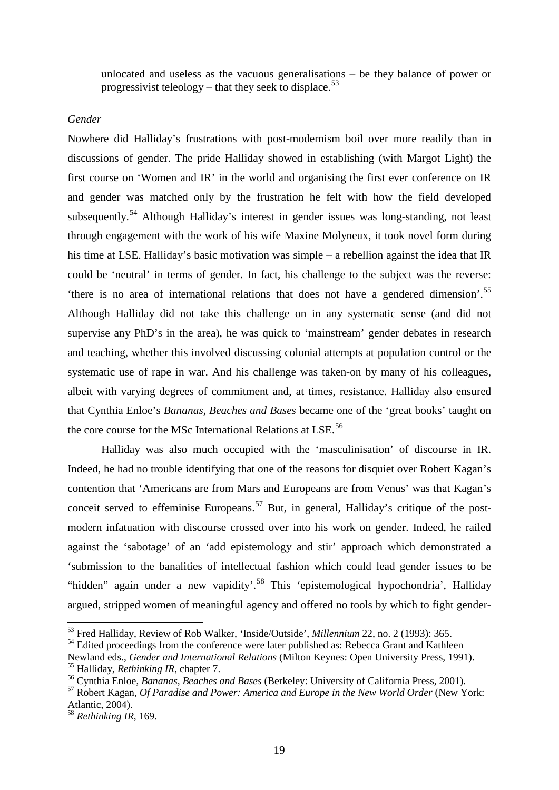unlocated and useless as the vacuous generalisations – be they balance of power or progressivist teleology – that they seek to displace.<sup>[53](#page-18-0)</sup>

#### *Gender*

Nowhere did Halliday's frustrations with post-modernism boil over more readily than in discussions of gender. The pride Halliday showed in establishing (with Margot Light) the first course on 'Women and IR' in the world and organising the first ever conference on IR and gender was matched only by the frustration he felt with how the field developed subsequently.<sup>[54](#page-19-0)</sup> Although Halliday's interest in gender issues was long-standing, not least through engagement with the work of his wife Maxine Molyneux, it took novel form during his time at LSE. Halliday's basic motivation was simple – a rebellion against the idea that IR could be 'neutral' in terms of gender. In fact, his challenge to the subject was the reverse: 'there is no area of international relations that does not have a gendered dimension'.[55](#page-19-1) Although Halliday did not take this challenge on in any systematic sense (and did not supervise any PhD's in the area), he was quick to 'mainstream' gender debates in research and teaching, whether this involved discussing colonial attempts at population control or the systematic use of rape in war. And his challenge was taken-on by many of his colleagues, albeit with varying degrees of commitment and, at times, resistance. Halliday also ensured that Cynthia Enloe's *Bananas, Beaches and Bases* became one of the 'great books' taught on the core course for the MSc International Relations at LSE.<sup>[56](#page-19-2)</sup>

Halliday was also much occupied with the 'masculinisation' of discourse in IR. Indeed, he had no trouble identifying that one of the reasons for disquiet over Robert Kagan's contention that 'Americans are from Mars and Europeans are from Venus' was that Kagan's conceit served to effeminise Europeans.<sup>[57](#page-19-3)</sup> But, in general, Halliday's critique of the postmodern infatuation with discourse crossed over into his work on gender. Indeed, he railed against the 'sabotage' of an 'add epistemology and stir' approach which demonstrated a 'submission to the banalities of intellectual fashion which could lead gender issues to be "hidden" again under a new vapidity<sup>[58](#page-19-4)</sup> This 'epistemological hypochondria', Halliday argued, stripped women of meaningful agency and offered no tools by which to fight gender-

<span id="page-19-0"></span><sup>54</sup> Edited proceedings from the conference were later published as: Rebecca Grant and Kathleen

<span id="page-19-5"></span> <sup>53</sup> Fred Halliday, Review of Rob Walker, 'Inside/Outside', *Millennium* 22, no. 2 (1993): 365.

Newland eds., *Gender and International Relations* (Milton Keynes: Open University Press, 1991).

<span id="page-19-1"></span><sup>55</sup> Halliday, *Rethinking IR*, chapter 7.

<span id="page-19-2"></span><sup>56</sup> Cynthia Enloe, *Bananas, Beaches and Bases* (Berkeley: University of California Press, 2001).

<span id="page-19-3"></span><sup>&</sup>lt;sup>57</sup> Robert Kagan, *Of Paradise and Power: America and Europe in the New World Order* (New York: Atlantic, 2004).

<span id="page-19-4"></span><sup>58</sup> *Rethinking IR*, 169.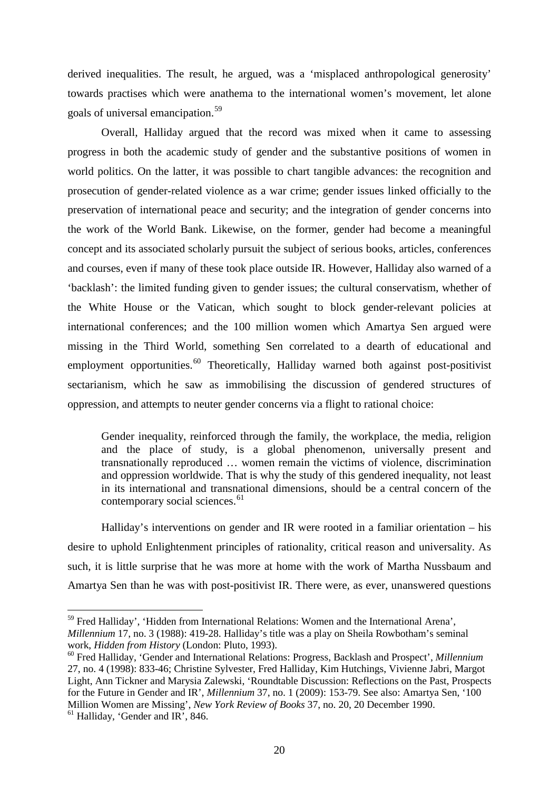derived inequalities. The result, he argued, was a 'misplaced anthropological generosity' towards practises which were anathema to the international women's movement, let alone goals of universal emancipation. [59](#page-19-5)

Overall, Halliday argued that the record was mixed when it came to assessing progress in both the academic study of gender and the substantive positions of women in world politics. On the latter, it was possible to chart tangible advances: the recognition and prosecution of gender-related violence as a war crime; gender issues linked officially to the preservation of international peace and security; and the integration of gender concerns into the work of the World Bank. Likewise, on the former, gender had become a meaningful concept and its associated scholarly pursuit the subject of serious books, articles, conferences and courses, even if many of these took place outside IR. However, Halliday also warned of a 'backlash': the limited funding given to gender issues; the cultural conservatism, whether of the White House or the Vatican, which sought to block gender-relevant policies at international conferences; and the 100 million women which Amartya Sen argued were missing in the Third World, something Sen correlated to a dearth of educational and employment opportunities.<sup>[60](#page-20-0)</sup> Theoretically, Halliday warned both against post-positivist sectarianism, which he saw as immobilising the discussion of gendered structures of oppression, and attempts to neuter gender concerns via a flight to rational choice:

Gender inequality, reinforced through the family, the workplace, the media, religion and the place of study, is a global phenomenon, universally present and transnationally reproduced … women remain the victims of violence, discrimination and oppression worldwide. That is why the study of this gendered inequality, not least in its international and transnational dimensions, should be a central concern of the contemporary social sciences.<sup>[61](#page-20-1)</sup>

Halliday's interventions on gender and IR were rooted in a familiar orientation – his desire to uphold Enlightenment principles of rationality, critical reason and universality. As such, it is little surprise that he was more at home with the work of Martha Nussbaum and Amartya Sen than he was with post-positivist IR. There were, as ever, unanswered questions

 <sup>59</sup> Fred Halliday', 'Hidden from International Relations: Women and the International Arena', *Millennium* 17, no. 3 (1988): 419-28. Halliday's title was a play on Sheila Rowbotham's seminal work, *Hidden from History* (London: Pluto, 1993).

<span id="page-20-2"></span><span id="page-20-0"></span><sup>60</sup> Fred Halliday, 'Gender and International Relations: Progress, Backlash and Prospect', *Millennium*  27, no. 4 (1998): 833-46; Christine Sylvester, Fred Halliday, Kim Hutchings, Vivienne Jabri, Margot Light, Ann Tickner and Marysia Zalewski, 'Roundtable Discussion: Reflections on the Past, Prospects for the Future in Gender and IR', *Millennium* 37, no. 1 (2009): 153-79. See also: Amartya Sen, '100 Million Women are Missing', *New York Review of Books* 37, no. 20, 20 December 1990.  $61$  Halliday, 'Gender and IR', 846.

<span id="page-20-1"></span>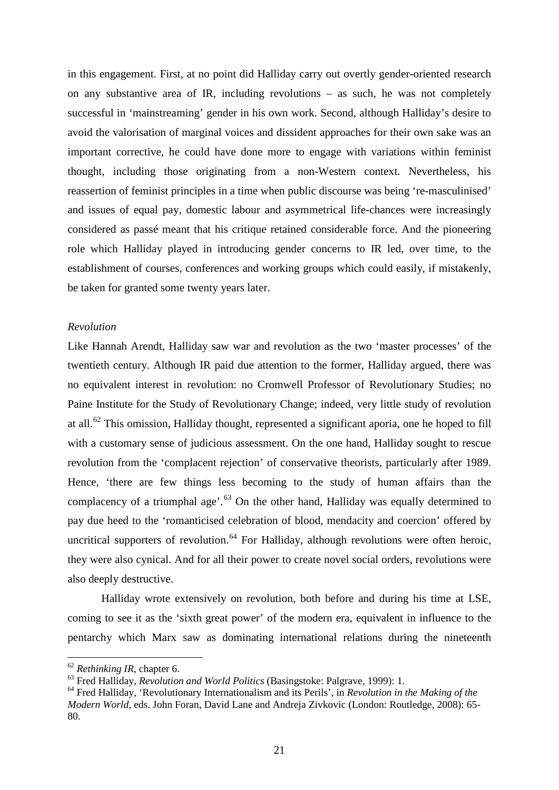in this engagement. First, at no point did Halliday carry out overtly gender-oriented research on any substantive area of IR, including revolutions – as such, he was not completely successful in 'mainstreaming' gender in his own work. Second, although Halliday's desire to avoid the valorisation of marginal voices and dissident approaches for their own sake was an important corrective, he could have done more to engage with variations within feminist thought, including those originating from a non-Western context. Nevertheless, his reassertion of feminist principles in a time when public discourse was being 're-masculinised' and issues of equal pay, domestic labour and asymmetrical life-chances were increasingly considered as passé meant that his critique retained considerable force. And the pioneering role which Halliday played in introducing gender concerns to IR led, over time, to the establishment of courses, conferences and working groups which could easily, if mistakenly, be taken for granted some twenty years later.

#### *Revolution*

Like Hannah Arendt, Halliday saw war and revolution as the two 'master processes' of the twentieth century. Although IR paid due attention to the former, Halliday argued, there was no equivalent interest in revolution: no Cromwell Professor of Revolutionary Studies; no Paine Institute for the Study of Revolutionary Change; indeed, very little study of revolution at all.<sup>[62](#page-20-2)</sup> This omission, Halliday thought, represented a significant aporia, one he hoped to fill with a customary sense of judicious assessment. On the one hand, Halliday sought to rescue revolution from the 'complacent rejection' of conservative theorists, particularly after 1989. Hence, 'there are few things less becoming to the study of human affairs than the complacency of a triumphal age'. $^{63}$  $^{63}$  $^{63}$  On the other hand, Halliday was equally determined to pay due heed to the 'romanticised celebration of blood, mendacity and coercion' offered by uncritical supporters of revolution.<sup>[64](#page-21-1)</sup> For Halliday, although revolutions were often heroic, they were also cynical. And for all their power to create novel social orders, revolutions were also deeply destructive.

Halliday wrote extensively on revolution, both before and during his time at LSE, coming to see it as the 'sixth great power' of the modern era, equivalent in influence to the pentarchy which Marx saw as dominating international relations during the nineteenth

 <sup>62</sup> *Rethinking IR*, chapter 6.

<span id="page-21-0"></span><sup>63</sup> Fred Halliday, *Revolution and World Politics* (Basingstoke: Palgrave, 1999): 1.

<span id="page-21-1"></span><sup>64</sup> Fred Halliday, 'Revolutionary Internationalism and its Perils', in *Revolution in the Making of the Modern World*, eds. John Foran, David Lane and Andreja Zivkovic (London: Routledge, 2008): 65- 80.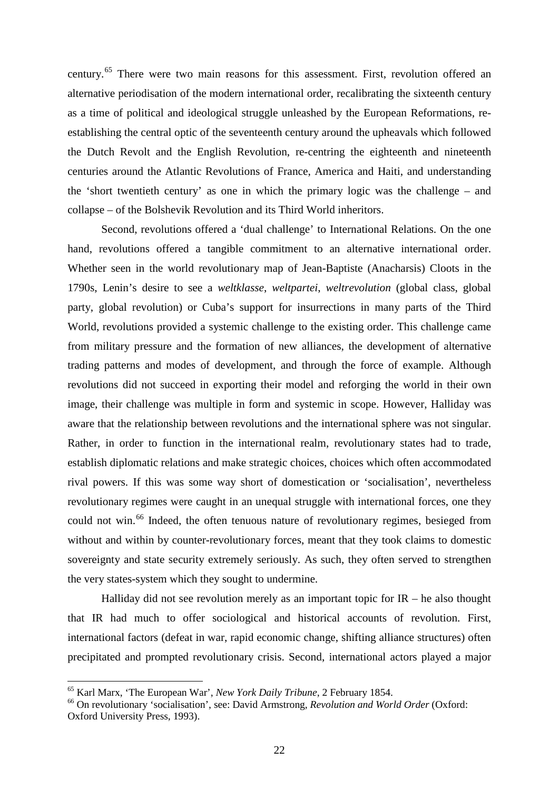century.<sup>[65](#page-21-1)</sup> There were two main reasons for this assessment. First, revolution offered an alternative periodisation of the modern international order, recalibrating the sixteenth century as a time of political and ideological struggle unleashed by the European Reformations, reestablishing the central optic of the seventeenth century around the upheavals which followed the Dutch Revolt and the English Revolution, re-centring the eighteenth and nineteenth centuries around the Atlantic Revolutions of France, America and Haiti, and understanding the 'short twentieth century' as one in which the primary logic was the challenge – and collapse – of the Bolshevik Revolution and its Third World inheritors.

Second, revolutions offered a 'dual challenge' to International Relations. On the one hand, revolutions offered a tangible commitment to an alternative international order. Whether seen in the world revolutionary map of Jean-Baptiste (Anacharsis) Cloots in the 1790s, Lenin's desire to see a *weltklasse*, *weltpartei*, *weltrevolution* (global class, global party, global revolution) or Cuba's support for insurrections in many parts of the Third World, revolutions provided a systemic challenge to the existing order. This challenge came from military pressure and the formation of new alliances, the development of alternative trading patterns and modes of development, and through the force of example. Although revolutions did not succeed in exporting their model and reforging the world in their own image, their challenge was multiple in form and systemic in scope. However, Halliday was aware that the relationship between revolutions and the international sphere was not singular. Rather, in order to function in the international realm, revolutionary states had to trade, establish diplomatic relations and make strategic choices, choices which often accommodated rival powers. If this was some way short of domestication or 'socialisation', nevertheless revolutionary regimes were caught in an unequal struggle with international forces, one they could not win.<sup>[66](#page-22-0)</sup> Indeed, the often tenuous nature of revolutionary regimes, besieged from without and within by counter-revolutionary forces, meant that they took claims to domestic sovereignty and state security extremely seriously. As such, they often served to strengthen the very states-system which they sought to undermine.

<span id="page-22-1"></span>Halliday did not see revolution merely as an important topic for  $IR$  – he also thought that IR had much to offer sociological and historical accounts of revolution. First, international factors (defeat in war, rapid economic change, shifting alliance structures) often precipitated and prompted revolutionary crisis. Second, international actors played a major

 <sup>65</sup> Karl Marx, 'The European War', *New York Daily Tribune*, 2 February 1854.

<span id="page-22-0"></span><sup>66</sup> On revolutionary 'socialisation', see: David Armstrong, *Revolution and World Order* (Oxford: Oxford University Press, 1993).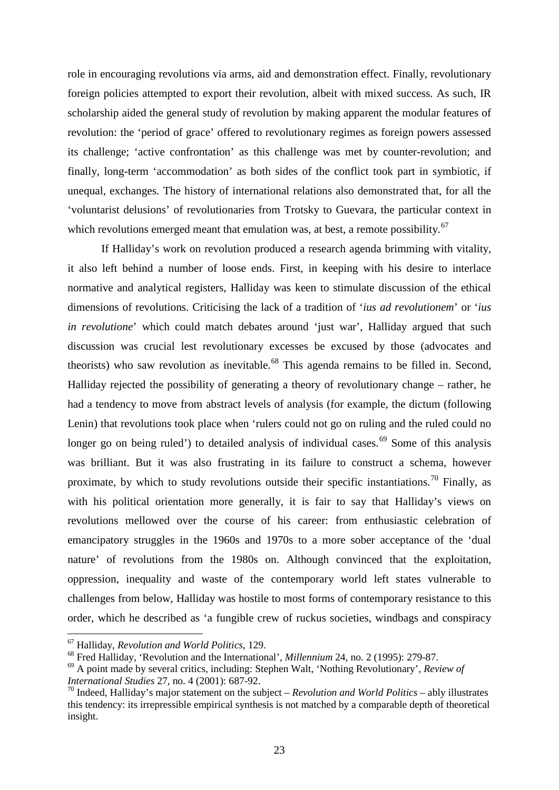role in encouraging revolutions via arms, aid and demonstration effect. Finally, revolutionary foreign policies attempted to export their revolution, albeit with mixed success. As such, IR scholarship aided the general study of revolution by making apparent the modular features of revolution: the 'period of grace' offered to revolutionary regimes as foreign powers assessed its challenge; 'active confrontation' as this challenge was met by counter-revolution; and finally, long-term 'accommodation' as both sides of the conflict took part in symbiotic, if unequal, exchanges. The history of international relations also demonstrated that, for all the 'voluntarist delusions' of revolutionaries from Trotsky to Guevara, the particular context in which revolutions emerged meant that emulation was, at best, a remote possibility.<sup>[67](#page-22-1)</sup>

If Halliday's work on revolution produced a research agenda brimming with vitality, it also left behind a number of loose ends. First, in keeping with his desire to interlace normative and analytical registers, Halliday was keen to stimulate discussion of the ethical dimensions of revolutions. Criticising the lack of a tradition of '*ius ad revolutionem*' or '*ius in revolutione*' which could match debates around 'just war', Halliday argued that such discussion was crucial lest revolutionary excesses be excused by those (advocates and theorists) who saw revolution as inevitable.<sup>[68](#page-23-0)</sup> This agenda remains to be filled in. Second, Halliday rejected the possibility of generating a theory of revolutionary change – rather, he had a tendency to move from abstract levels of analysis (for example, the dictum (following Lenin) that revolutions took place when 'rulers could not go on ruling and the ruled could no longer go on being ruled') to detailed analysis of individual cases.<sup>[69](#page-23-1)</sup> Some of this analysis was brilliant. But it was also frustrating in its failure to construct a schema, however proximate, by which to study revolutions outside their specific instantiations.<sup>[70](#page-23-2)</sup> Finally, as with his political orientation more generally, it is fair to say that Halliday's views on revolutions mellowed over the course of his career: from enthusiastic celebration of emancipatory struggles in the 1960s and 1970s to a more sober acceptance of the 'dual nature' of revolutions from the 1980s on. Although convinced that the exploitation, oppression, inequality and waste of the contemporary world left states vulnerable to challenges from below, Halliday was hostile to most forms of contemporary resistance to this order, which he described as 'a fungible crew of ruckus societies, windbags and conspiracy

<span id="page-23-3"></span> <sup>67</sup> Halliday, *Revolution and World Politics*, 129.

<span id="page-23-0"></span><sup>68</sup> Fred Halliday, 'Revolution and the International', *Millennium* 24, no. 2 (1995): 279-87.

<span id="page-23-1"></span><sup>69</sup> A point made by several critics, including: Stephen Walt, 'Nothing Revolutionary', *Review of International Studies* 27, no. 4 (2001): 687-92.

<span id="page-23-2"></span><sup>70</sup> Indeed, Halliday's major statement on the subject – *Revolution and World Politics* – ably illustrates this tendency: its irrepressible empirical synthesis is not matched by a comparable depth of theoretical insight.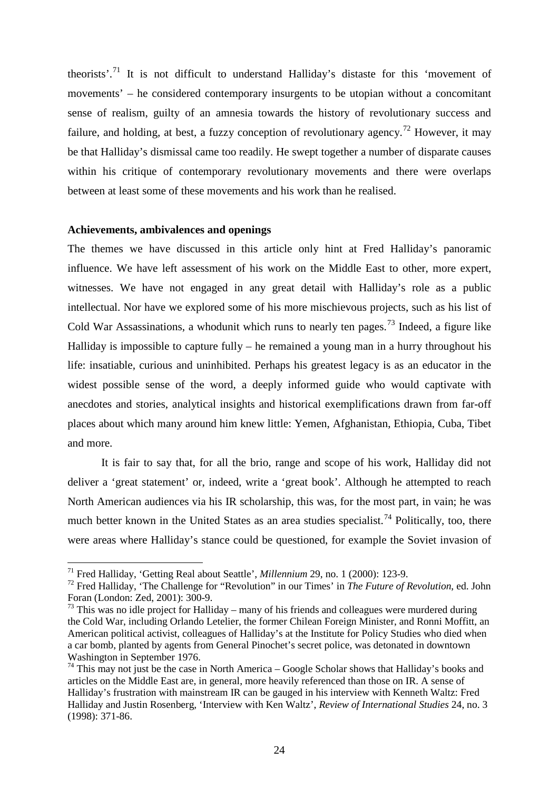theorists'.<sup>[71](#page-23-3)</sup> It is not difficult to understand Halliday's distaste for this 'movement of movements' – he considered contemporary insurgents to be utopian without a concomitant sense of realism, guilty of an amnesia towards the history of revolutionary success and failure, and holding, at best, a fuzzy conception of revolutionary agency.<sup>[72](#page-24-0)</sup> However, it may be that Halliday's dismissal came too readily. He swept together a number of disparate causes within his critique of contemporary revolutionary movements and there were overlaps between at least some of these movements and his work than he realised.

#### **Achievements, ambivalences and openings**

The themes we have discussed in this article only hint at Fred Halliday's panoramic influence. We have left assessment of his work on the Middle East to other, more expert, witnesses. We have not engaged in any great detail with Halliday's role as a public intellectual. Nor have we explored some of his more mischievous projects, such as his list of Cold War Assassinations, a whodunit which runs to nearly ten pages.<sup>[73](#page-24-1)</sup> Indeed, a figure like Halliday is impossible to capture fully – he remained a young man in a hurry throughout his life: insatiable, curious and uninhibited. Perhaps his greatest legacy is as an educator in the widest possible sense of the word, a deeply informed guide who would captivate with anecdotes and stories, analytical insights and historical exemplifications drawn from far-off places about which many around him knew little: Yemen, Afghanistan, Ethiopia, Cuba, Tibet and more.

It is fair to say that, for all the brio, range and scope of his work, Halliday did not deliver a 'great statement' or, indeed, write a 'great book'. Although he attempted to reach North American audiences via his IR scholarship, this was, for the most part, in vain; he was much better known in the United States as an area studies specialist.<sup>[74](#page-24-2)</sup> Politically, too, there were areas where Halliday's stance could be questioned, for example the Soviet invasion of

 <sup>71</sup> Fred Halliday, 'Getting Real about Seattle', *Millennium* 29, no. 1 (2000): 123-9.

<span id="page-24-0"></span><sup>72</sup> Fred Halliday, 'The Challenge for "Revolution" in our Times' in *The Future of Revolution*, ed. John Foran (London: Zed, 2001): 300-9.

<span id="page-24-1"></span> $73$  This was no idle project for Halliday – many of his friends and colleagues were murdered during the Cold War, including Orlando Letelier, the former Chilean Foreign Minister, and Ronni Moffitt, an American political activist, colleagues of Halliday's at the Institute for Policy Studies who died when a car bomb, planted by agents from General Pinochet's secret police, was detonated in downtown Washington in September 1976.

<span id="page-24-3"></span><span id="page-24-2"></span> $74$  This may not just be the case in North America – Google Scholar shows that Halliday's books and articles on the Middle East are, in general, more heavily referenced than those on IR. A sense of Halliday's frustration with mainstream IR can be gauged in his interview with Kenneth Waltz: Fred Halliday and Justin Rosenberg, 'Interview with Ken Waltz', *Review of International Studies* 24, no. 3 (1998): 371-86.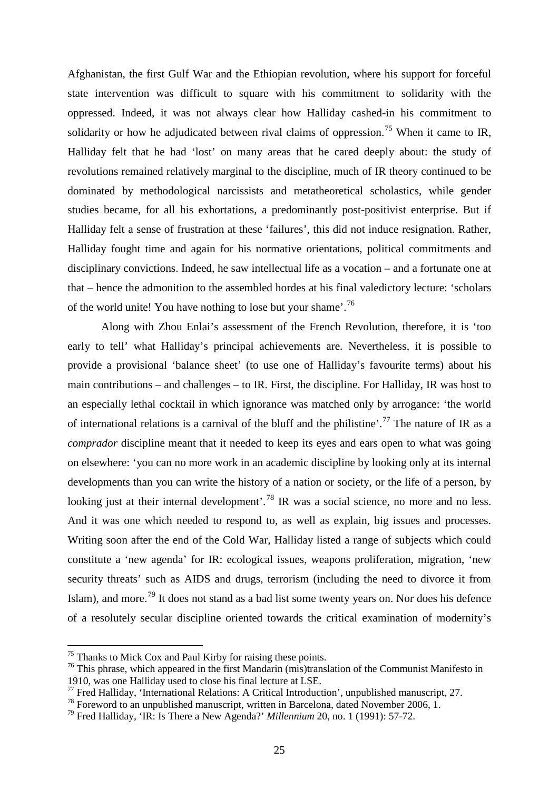Afghanistan, the first Gulf War and the Ethiopian revolution, where his support for forceful state intervention was difficult to square with his commitment to solidarity with the oppressed. Indeed, it was not always clear how Halliday cashed-in his commitment to solidarity or how he adjudicated between rival claims of oppression.<sup>[75](#page-24-3)</sup> When it came to IR, Halliday felt that he had 'lost' on many areas that he cared deeply about: the study of revolutions remained relatively marginal to the discipline, much of IR theory continued to be dominated by methodological narcissists and metatheoretical scholastics, while gender studies became, for all his exhortations, a predominantly post-positivist enterprise. But if Halliday felt a sense of frustration at these 'failures', this did not induce resignation. Rather, Halliday fought time and again for his normative orientations, political commitments and disciplinary convictions. Indeed, he saw intellectual life as a vocation – and a fortunate one at that – hence the admonition to the assembled hordes at his final valedictory lecture: 'scholars of the world unite! You have nothing to lose but your shame'.[76](#page-25-0)

Along with Zhou Enlai's assessment of the French Revolution, therefore, it is 'too early to tell' what Halliday's principal achievements are. Nevertheless, it is possible to provide a provisional 'balance sheet' (to use one of Halliday's favourite terms) about his main contributions – and challenges – to IR. First, the discipline. For Halliday, IR was host to an especially lethal cocktail in which ignorance was matched only by arrogance: 'the world of international relations is a carnival of the bluff and the philistine'.<sup>[77](#page-25-1)</sup> The nature of IR as a *comprador* discipline meant that it needed to keep its eyes and ears open to what was going on elsewhere: 'you can no more work in an academic discipline by looking only at its internal developments than you can write the history of a nation or society, or the life of a person, by looking just at their internal development'.<sup>[78](#page-25-2)</sup> IR was a social science, no more and no less. And it was one which needed to respond to, as well as explain, big issues and processes. Writing soon after the end of the Cold War, Halliday listed a range of subjects which could constitute a 'new agenda' for IR: ecological issues, weapons proliferation, migration, 'new security threats' such as AIDS and drugs, terrorism (including the need to divorce it from Islam), and more.<sup>[79](#page-25-3)</sup> It does not stand as a bad list some twenty years on. Nor does his defence of a resolutely secular discipline oriented towards the critical examination of modernity's

 $75$  Thanks to Mick Cox and Paul Kirby for raising these points.

<span id="page-25-0"></span><sup>&</sup>lt;sup>76</sup> This phrase, which appeared in the first Mandarin (mis)translation of the Communist Manifesto in 1910, was one Halliday used to close his final lecture at LSE.

<span id="page-25-1"></span><sup>77</sup> Fred Halliday, 'International Relations: A Critical Introduction', unpublished manuscript, 27.

<span id="page-25-2"></span> $78$  Foreword to an unpublished manuscript, written in Barcelona, dated November 2006, 1.

<span id="page-25-3"></span><sup>79</sup> Fred Halliday, 'IR: Is There a New Agenda?' *Millennium* 20, no. 1 (1991): 57-72.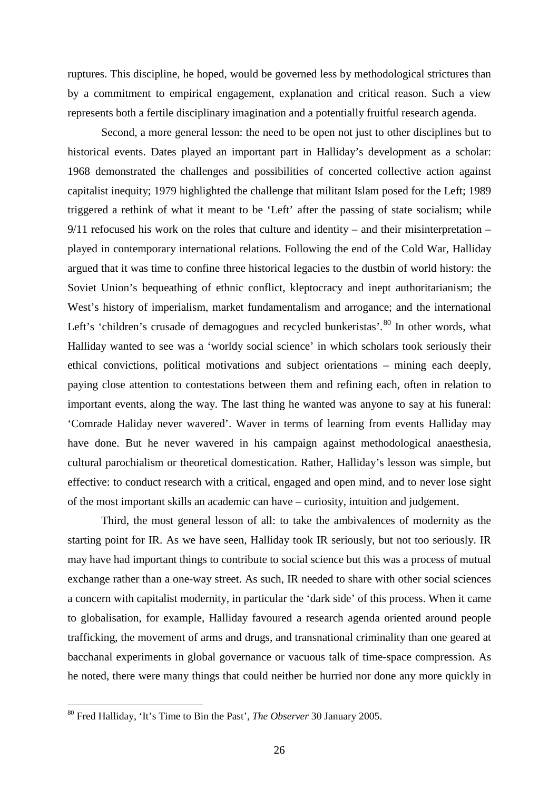ruptures. This discipline, he hoped, would be governed less by methodological strictures than by a commitment to empirical engagement, explanation and critical reason. Such a view represents both a fertile disciplinary imagination and a potentially fruitful research agenda.

Second, a more general lesson: the need to be open not just to other disciplines but to historical events. Dates played an important part in Halliday's development as a scholar: 1968 demonstrated the challenges and possibilities of concerted collective action against capitalist inequity; 1979 highlighted the challenge that militant Islam posed for the Left; 1989 triggered a rethink of what it meant to be 'Left' after the passing of state socialism; while  $9/11$  refocused his work on the roles that culture and identity – and their misinterpretation – played in contemporary international relations. Following the end of the Cold War, Halliday argued that it was time to confine three historical legacies to the dustbin of world history: the Soviet Union's bequeathing of ethnic conflict, kleptocracy and inept authoritarianism; the West's history of imperialism, market fundamentalism and arrogance; and the international Left's 'children's crusade of demagogues and recycled bunkeristas'.<sup>[80](#page-25-3)</sup> In other words, what Halliday wanted to see was a 'worldy social science' in which scholars took seriously their ethical convictions, political motivations and subject orientations – mining each deeply, paying close attention to contestations between them and refining each, often in relation to important events, along the way. The last thing he wanted was anyone to say at his funeral: 'Comrade Haliday never wavered'. Waver in terms of learning from events Halliday may have done. But he never wavered in his campaign against methodological anaesthesia, cultural parochialism or theoretical domestication. Rather, Halliday's lesson was simple, but effective: to conduct research with a critical, engaged and open mind, and to never lose sight of the most important skills an academic can have – curiosity, intuition and judgement.

Third, the most general lesson of all: to take the ambivalences of modernity as the starting point for IR. As we have seen, Halliday took IR seriously, but not too seriously. IR may have had important things to contribute to social science but this was a process of mutual exchange rather than a one-way street. As such, IR needed to share with other social sciences a concern with capitalist modernity, in particular the 'dark side' of this process. When it came to globalisation, for example, Halliday favoured a research agenda oriented around people trafficking, the movement of arms and drugs, and transnational criminality than one geared at bacchanal experiments in global governance or vacuous talk of time-space compression. As he noted, there were many things that could neither be hurried nor done any more quickly in

<span id="page-26-0"></span> <sup>80</sup> Fred Halliday, 'It's Time to Bin the Past', *The Observer* 30 January 2005.